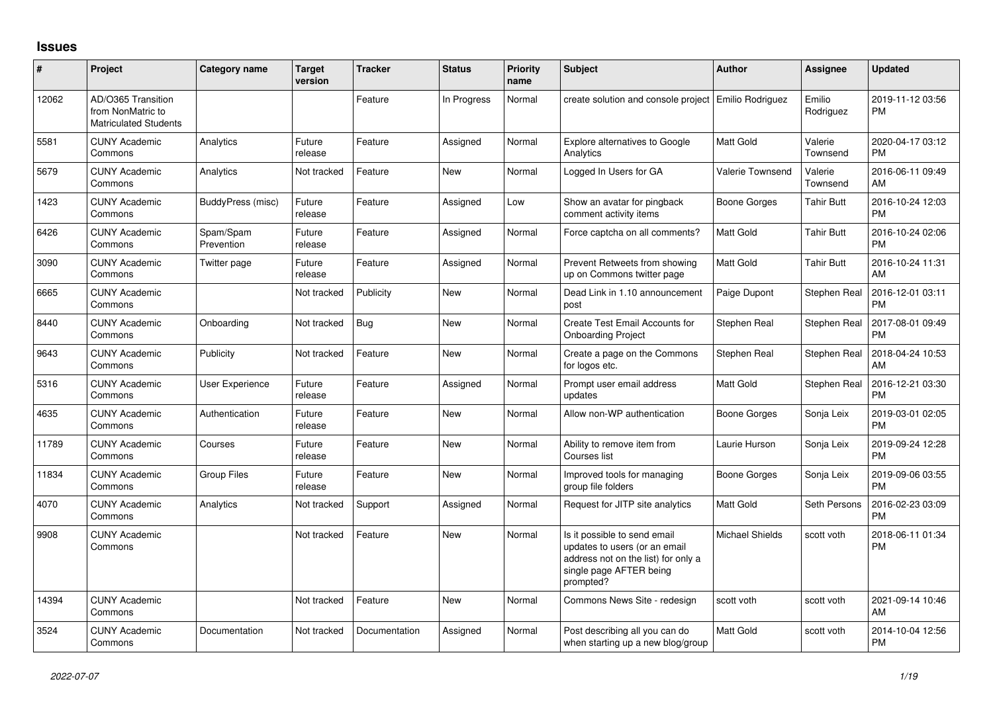## **Issues**

| #     | Project                                                                 | <b>Category name</b>    | <b>Target</b><br>version | <b>Tracker</b> | <b>Status</b> | <b>Priority</b><br>name | <b>Subject</b>                                                                                                                               | Author                 | <b>Assignee</b>     | <b>Updated</b>                |
|-------|-------------------------------------------------------------------------|-------------------------|--------------------------|----------------|---------------|-------------------------|----------------------------------------------------------------------------------------------------------------------------------------------|------------------------|---------------------|-------------------------------|
| 12062 | AD/O365 Transition<br>from NonMatric to<br><b>Matriculated Students</b> |                         |                          | Feature        | In Progress   | Normal                  | create solution and console project   Emilio Rodriguez                                                                                       |                        | Emilio<br>Rodriguez | 2019-11-12 03:56<br><b>PM</b> |
| 5581  | <b>CUNY Academic</b><br>Commons                                         | Analytics               | Future<br>release        | Feature        | Assigned      | Normal                  | <b>Explore alternatives to Google</b><br>Analytics                                                                                           | <b>Matt Gold</b>       | Valerie<br>Townsend | 2020-04-17 03:12<br><b>PM</b> |
| 5679  | <b>CUNY Academic</b><br>Commons                                         | Analytics               | Not tracked              | Feature        | <b>New</b>    | Normal                  | Logged In Users for GA                                                                                                                       | Valerie Townsend       | Valerie<br>Townsend | 2016-06-11 09:49<br>AM        |
| 1423  | <b>CUNY Academic</b><br>Commons                                         | BuddyPress (misc)       | Future<br>release        | Feature        | Assigned      | Low                     | Show an avatar for pingback<br>comment activity items                                                                                        | Boone Gorges           | Tahir Butt          | 2016-10-24 12:03<br><b>PM</b> |
| 6426  | <b>CUNY Academic</b><br>Commons                                         | Spam/Spam<br>Prevention | Future<br>release        | Feature        | Assigned      | Normal                  | Force captcha on all comments?                                                                                                               | <b>Matt Gold</b>       | Tahir Butt          | 2016-10-24 02:06<br><b>PM</b> |
| 3090  | <b>CUNY Academic</b><br>Commons                                         | Twitter page            | Future<br>release        | Feature        | Assigned      | Normal                  | Prevent Retweets from showing<br>up on Commons twitter page                                                                                  | <b>Matt Gold</b>       | <b>Tahir Butt</b>   | 2016-10-24 11:31<br>AM        |
| 6665  | <b>CUNY Academic</b><br>Commons                                         |                         | Not tracked              | Publicity      | New           | Normal                  | Dead Link in 1.10 announcement<br>post                                                                                                       | Paige Dupont           | Stephen Real        | 2016-12-01 03:11<br><b>PM</b> |
| 8440  | <b>CUNY Academic</b><br>Commons                                         | Onboarding              | Not tracked              | Bug            | New           | Normal                  | Create Test Email Accounts for<br><b>Onboarding Project</b>                                                                                  | Stephen Real           | Stephen Real        | 2017-08-01 09:49<br><b>PM</b> |
| 9643  | <b>CUNY Academic</b><br>Commons                                         | Publicity               | Not tracked              | Feature        | <b>New</b>    | Normal                  | Create a page on the Commons<br>for logos etc.                                                                                               | Stephen Real           | Stephen Real        | 2018-04-24 10:53<br>AM        |
| 5316  | <b>CUNY Academic</b><br>Commons                                         | User Experience         | Future<br>release        | Feature        | Assigned      | Normal                  | Prompt user email address<br>updates                                                                                                         | <b>Matt Gold</b>       | Stephen Real        | 2016-12-21 03:30<br><b>PM</b> |
| 4635  | <b>CUNY Academic</b><br>Commons                                         | Authentication          | Future<br>release        | Feature        | <b>New</b>    | Normal                  | Allow non-WP authentication                                                                                                                  | Boone Gorges           | Sonja Leix          | 2019-03-01 02:05<br><b>PM</b> |
| 11789 | <b>CUNY Academic</b><br>Commons                                         | Courses                 | Future<br>release        | Feature        | New           | Normal                  | Ability to remove item from<br>Courses list                                                                                                  | Laurie Hurson          | Sonja Leix          | 2019-09-24 12:28<br><b>PM</b> |
| 11834 | <b>CUNY Academic</b><br>Commons                                         | <b>Group Files</b>      | Future<br>release        | Feature        | New           | Normal                  | Improved tools for managing<br>group file folders                                                                                            | Boone Gorges           | Sonja Leix          | 2019-09-06 03:55<br><b>PM</b> |
| 4070  | <b>CUNY Academic</b><br>Commons                                         | Analytics               | Not tracked              | Support        | Assigned      | Normal                  | Request for JITP site analytics                                                                                                              | <b>Matt Gold</b>       | Seth Persons        | 2016-02-23 03:09<br><b>PM</b> |
| 9908  | <b>CUNY Academic</b><br>Commons                                         |                         | Not tracked              | Feature        | New           | Normal                  | Is it possible to send email<br>updates to users (or an email<br>address not on the list) for only a<br>single page AFTER being<br>prompted? | <b>Michael Shields</b> | scott voth          | 2018-06-11 01:34<br><b>PM</b> |
| 14394 | <b>CUNY Academic</b><br>Commons                                         |                         | Not tracked              | Feature        | <b>New</b>    | Normal                  | Commons News Site - redesign                                                                                                                 | scott voth             | scott voth          | 2021-09-14 10:46<br>AM        |
| 3524  | <b>CUNY Academic</b><br>Commons                                         | Documentation           | Not tracked              | Documentation  | Assigned      | Normal                  | Post describing all you can do<br>when starting up a new blog/group                                                                          | <b>Matt Gold</b>       | scott voth          | 2014-10-04 12:56<br><b>PM</b> |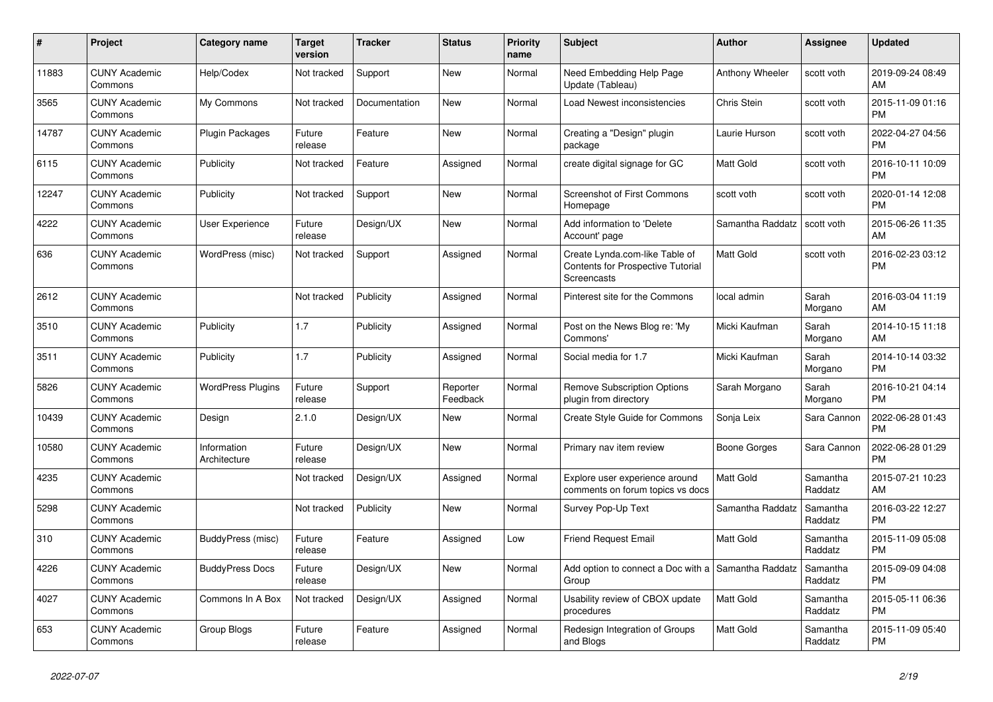| $\#$  | Project                         | <b>Category name</b>        | <b>Target</b><br>version | <b>Tracker</b> | <b>Status</b>        | <b>Priority</b><br>name | <b>Subject</b>                                                                            | <b>Author</b>    | Assignee            | <b>Updated</b>                |
|-------|---------------------------------|-----------------------------|--------------------------|----------------|----------------------|-------------------------|-------------------------------------------------------------------------------------------|------------------|---------------------|-------------------------------|
| 11883 | <b>CUNY Academic</b><br>Commons | Help/Codex                  | Not tracked              | Support        | <b>New</b>           | Normal                  | Need Embedding Help Page<br>Update (Tableau)                                              | Anthony Wheeler  | scott voth          | 2019-09-24 08:49<br>AM        |
| 3565  | <b>CUNY Academic</b><br>Commons | My Commons                  | Not tracked              | Documentation  | New                  | Normal                  | Load Newest inconsistencies                                                               | Chris Stein      | scott voth          | 2015-11-09 01:16<br><b>PM</b> |
| 14787 | <b>CUNY Academic</b><br>Commons | Plugin Packages             | Future<br>release        | Feature        | <b>New</b>           | Normal                  | Creating a "Design" plugin<br>package                                                     | Laurie Hurson    | scott voth          | 2022-04-27 04:56<br><b>PM</b> |
| 6115  | <b>CUNY Academic</b><br>Commons | Publicity                   | Not tracked              | Feature        | Assigned             | Normal                  | create digital signage for GC                                                             | <b>Matt Gold</b> | scott voth          | 2016-10-11 10:09<br><b>PM</b> |
| 12247 | <b>CUNY Academic</b><br>Commons | Publicity                   | Not tracked              | Support        | New                  | Normal                  | <b>Screenshot of First Commons</b><br>Homepage                                            | scott voth       | scott voth          | 2020-01-14 12:08<br><b>PM</b> |
| 4222  | <b>CUNY Academic</b><br>Commons | User Experience             | Future<br>release        | Design/UX      | New                  | Normal                  | Add information to 'Delete<br>Account' page                                               | Samantha Raddatz | scott voth          | 2015-06-26 11:35<br>AM        |
| 636   | <b>CUNY Academic</b><br>Commons | WordPress (misc)            | Not tracked              | Support        | Assigned             | Normal                  | Create Lynda.com-like Table of<br><b>Contents for Prospective Tutorial</b><br>Screencasts | <b>Matt Gold</b> | scott voth          | 2016-02-23 03:12<br><b>PM</b> |
| 2612  | <b>CUNY Academic</b><br>Commons |                             | Not tracked              | Publicity      | Assigned             | Normal                  | Pinterest site for the Commons                                                            | local admin      | Sarah<br>Morgano    | 2016-03-04 11:19<br>AM        |
| 3510  | <b>CUNY Academic</b><br>Commons | Publicity                   | 1.7                      | Publicity      | Assigned             | Normal                  | Post on the News Blog re: 'My<br>Commons'                                                 | Micki Kaufman    | Sarah<br>Morgano    | 2014-10-15 11:18<br>AM        |
| 3511  | <b>CUNY Academic</b><br>Commons | Publicity                   | 1.7                      | Publicity      | Assigned             | Normal                  | Social media for 1.7                                                                      | Micki Kaufman    | Sarah<br>Morgano    | 2014-10-14 03:32<br><b>PM</b> |
| 5826  | <b>CUNY Academic</b><br>Commons | <b>WordPress Plugins</b>    | Future<br>release        | Support        | Reporter<br>Feedback | Normal                  | <b>Remove Subscription Options</b><br>plugin from directory                               | Sarah Morgano    | Sarah<br>Morgano    | 2016-10-21 04:14<br><b>PM</b> |
| 10439 | <b>CUNY Academic</b><br>Commons | Design                      | 2.1.0                    | Design/UX      | <b>New</b>           | Normal                  | Create Style Guide for Commons                                                            | Sonja Leix       | Sara Cannon         | 2022-06-28 01:43<br><b>PM</b> |
| 10580 | <b>CUNY Academic</b><br>Commons | Information<br>Architecture | Future<br>release        | Design/UX      | <b>New</b>           | Normal                  | Primary nav item review                                                                   | Boone Gorges     | Sara Cannon         | 2022-06-28 01:29<br><b>PM</b> |
| 4235  | <b>CUNY Academic</b><br>Commons |                             | Not tracked              | Design/UX      | Assigned             | Normal                  | Explore user experience around<br>comments on forum topics vs docs                        | <b>Matt Gold</b> | Samantha<br>Raddatz | 2015-07-21 10:23<br>AM        |
| 5298  | <b>CUNY Academic</b><br>Commons |                             | Not tracked              | Publicity      | <b>New</b>           | Normal                  | Survey Pop-Up Text                                                                        | Samantha Raddatz | Samantha<br>Raddatz | 2016-03-22 12:27<br><b>PM</b> |
| 310   | <b>CUNY Academic</b><br>Commons | BuddyPress (misc)           | Future<br>release        | Feature        | Assigned             | Low                     | <b>Friend Request Email</b>                                                               | <b>Matt Gold</b> | Samantha<br>Raddatz | 2015-11-09 05:08<br><b>PM</b> |
| 4226  | <b>CUNY Academic</b><br>Commons | <b>BuddyPress Docs</b>      | Future<br>release        | Design/UX      | <b>New</b>           | Normal                  | Add option to connect a Doc with a Samantha Raddatz<br>Group                              |                  | Samantha<br>Raddatz | 2015-09-09 04:08<br><b>PM</b> |
| 4027  | <b>CUNY Academic</b><br>Commons | Commons In A Box            | Not tracked              | Design/UX      | Assigned             | Normal                  | Usability review of CBOX update<br>procedures                                             | Matt Gold        | Samantha<br>Raddatz | 2015-05-11 06:36<br><b>PM</b> |
| 653   | <b>CUNY Academic</b><br>Commons | Group Blogs                 | Future<br>release        | Feature        | Assigned             | Normal                  | Redesign Integration of Groups<br>and Blogs                                               | <b>Matt Gold</b> | Samantha<br>Raddatz | 2015-11-09 05:40<br><b>PM</b> |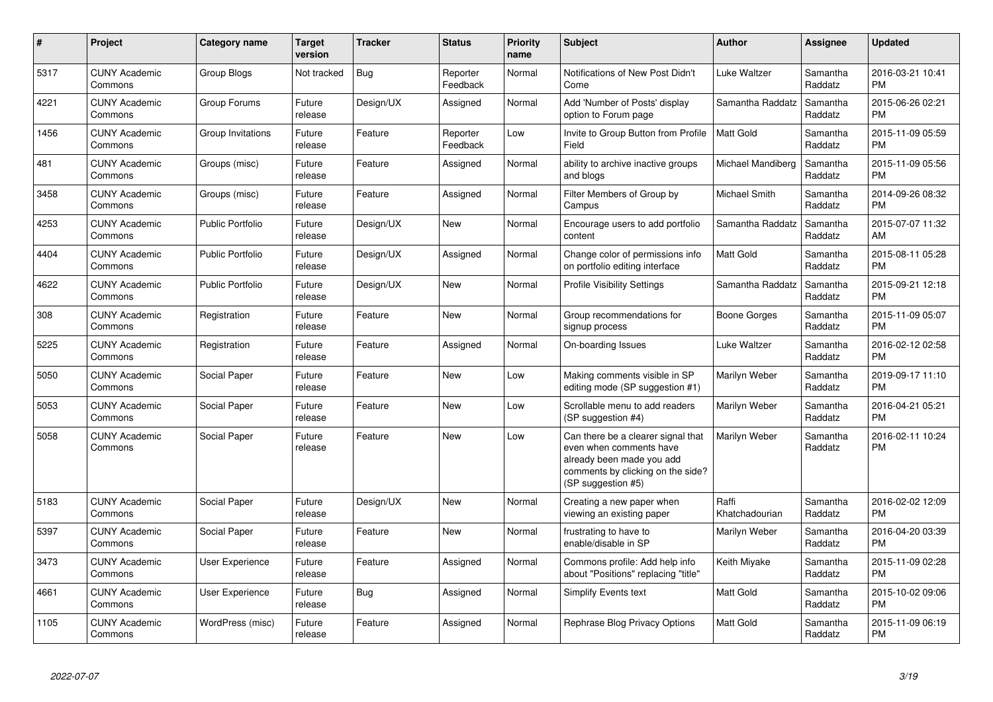| $\#$ | Project                         | <b>Category name</b>    | <b>Target</b><br>version | <b>Tracker</b> | <b>Status</b>        | <b>Priority</b><br>name | <b>Subject</b>                                                                                                                                        | <b>Author</b>           | Assignee            | <b>Updated</b>                |
|------|---------------------------------|-------------------------|--------------------------|----------------|----------------------|-------------------------|-------------------------------------------------------------------------------------------------------------------------------------------------------|-------------------------|---------------------|-------------------------------|
| 5317 | <b>CUNY Academic</b><br>Commons | <b>Group Blogs</b>      | Not tracked              | Bug            | Reporter<br>Feedback | Normal                  | Notifications of New Post Didn't<br>Come                                                                                                              | Luke Waltzer            | Samantha<br>Raddatz | 2016-03-21 10:41<br><b>PM</b> |
| 4221 | <b>CUNY Academic</b><br>Commons | Group Forums            | Future<br>release        | Design/UX      | Assigned             | Normal                  | Add 'Number of Posts' display<br>option to Forum page                                                                                                 | Samantha Raddatz        | Samantha<br>Raddatz | 2015-06-26 02:21<br><b>PM</b> |
| 1456 | <b>CUNY Academic</b><br>Commons | Group Invitations       | Future<br>release        | Feature        | Reporter<br>Feedback | Low                     | Invite to Group Button from Profile<br>Field                                                                                                          | Matt Gold               | Samantha<br>Raddatz | 2015-11-09 05:59<br><b>PM</b> |
| 481  | <b>CUNY Academic</b><br>Commons | Groups (misc)           | Future<br>release        | Feature        | Assigned             | Normal                  | ability to archive inactive groups<br>and blogs                                                                                                       | Michael Mandiberg       | Samantha<br>Raddatz | 2015-11-09 05:56<br><b>PM</b> |
| 3458 | <b>CUNY Academic</b><br>Commons | Groups (misc)           | Future<br>release        | Feature        | Assigned             | Normal                  | Filter Members of Group by<br>Campus                                                                                                                  | Michael Smith           | Samantha<br>Raddatz | 2014-09-26 08:32<br><b>PM</b> |
| 4253 | <b>CUNY Academic</b><br>Commons | <b>Public Portfolio</b> | Future<br>release        | Design/UX      | New                  | Normal                  | Encourage users to add portfolio<br>content                                                                                                           | Samantha Raddatz        | Samantha<br>Raddatz | 2015-07-07 11:32<br>AM        |
| 4404 | <b>CUNY Academic</b><br>Commons | <b>Public Portfolio</b> | Future<br>release        | Design/UX      | Assigned             | Normal                  | Change color of permissions info<br>on portfolio editing interface                                                                                    | <b>Matt Gold</b>        | Samantha<br>Raddatz | 2015-08-11 05:28<br><b>PM</b> |
| 4622 | <b>CUNY Academic</b><br>Commons | <b>Public Portfolio</b> | Future<br>release        | Design/UX      | <b>New</b>           | Normal                  | <b>Profile Visibility Settings</b>                                                                                                                    | Samantha Raddatz        | Samantha<br>Raddatz | 2015-09-21 12:18<br><b>PM</b> |
| 308  | <b>CUNY Academic</b><br>Commons | Registration            | Future<br>release        | Feature        | <b>New</b>           | Normal                  | Group recommendations for<br>signup process                                                                                                           | Boone Gorges            | Samantha<br>Raddatz | 2015-11-09 05:07<br><b>PM</b> |
| 5225 | <b>CUNY Academic</b><br>Commons | Registration            | Future<br>release        | Feature        | Assigned             | Normal                  | On-boarding Issues                                                                                                                                    | Luke Waltzer            | Samantha<br>Raddatz | 2016-02-12 02:58<br><b>PM</b> |
| 5050 | <b>CUNY Academic</b><br>Commons | Social Paper            | Future<br>release        | Feature        | New                  | Low                     | Making comments visible in SP<br>editing mode (SP suggestion #1)                                                                                      | Marilyn Weber           | Samantha<br>Raddatz | 2019-09-17 11:10<br>PM        |
| 5053 | <b>CUNY Academic</b><br>Commons | Social Paper            | Future<br>release        | Feature        | New                  | Low                     | Scrollable menu to add readers<br>(SP suggestion #4)                                                                                                  | Marilyn Weber           | Samantha<br>Raddatz | 2016-04-21 05:21<br><b>PM</b> |
| 5058 | <b>CUNY Academic</b><br>Commons | Social Paper            | Future<br>release        | Feature        | <b>New</b>           | Low                     | Can there be a clearer signal that<br>even when comments have<br>already been made you add<br>comments by clicking on the side?<br>(SP suggestion #5) | Marilyn Weber           | Samantha<br>Raddatz | 2016-02-11 10:24<br><b>PM</b> |
| 5183 | <b>CUNY Academic</b><br>Commons | Social Paper            | Future<br>release        | Design/UX      | New                  | Normal                  | Creating a new paper when<br>viewing an existing paper                                                                                                | Raffi<br>Khatchadourian | Samantha<br>Raddatz | 2016-02-02 12:09<br><b>PM</b> |
| 5397 | <b>CUNY Academic</b><br>Commons | Social Paper            | Future<br>release        | Feature        | <b>New</b>           | Normal                  | frustrating to have to<br>enable/disable in SP                                                                                                        | Marilyn Weber           | Samantha<br>Raddatz | 2016-04-20 03:39<br><b>PM</b> |
| 3473 | <b>CUNY Academic</b><br>Commons | <b>User Experience</b>  | Future<br>release        | Feature        | Assigned             | Normal                  | Commons profile: Add help info<br>about "Positions" replacing "title"                                                                                 | Keith Miyake            | Samantha<br>Raddatz | 2015-11-09 02:28<br><b>PM</b> |
| 4661 | <b>CUNY Academic</b><br>Commons | User Experience         | Future<br>release        | Bug            | Assigned             | Normal                  | Simplify Events text                                                                                                                                  | <b>Matt Gold</b>        | Samantha<br>Raddatz | 2015-10-02 09:06<br><b>PM</b> |
| 1105 | <b>CUNY Academic</b><br>Commons | WordPress (misc)        | Future<br>release        | Feature        | Assigned             | Normal                  | Rephrase Blog Privacy Options                                                                                                                         | <b>Matt Gold</b>        | Samantha<br>Raddatz | 2015-11-09 06:19<br><b>PM</b> |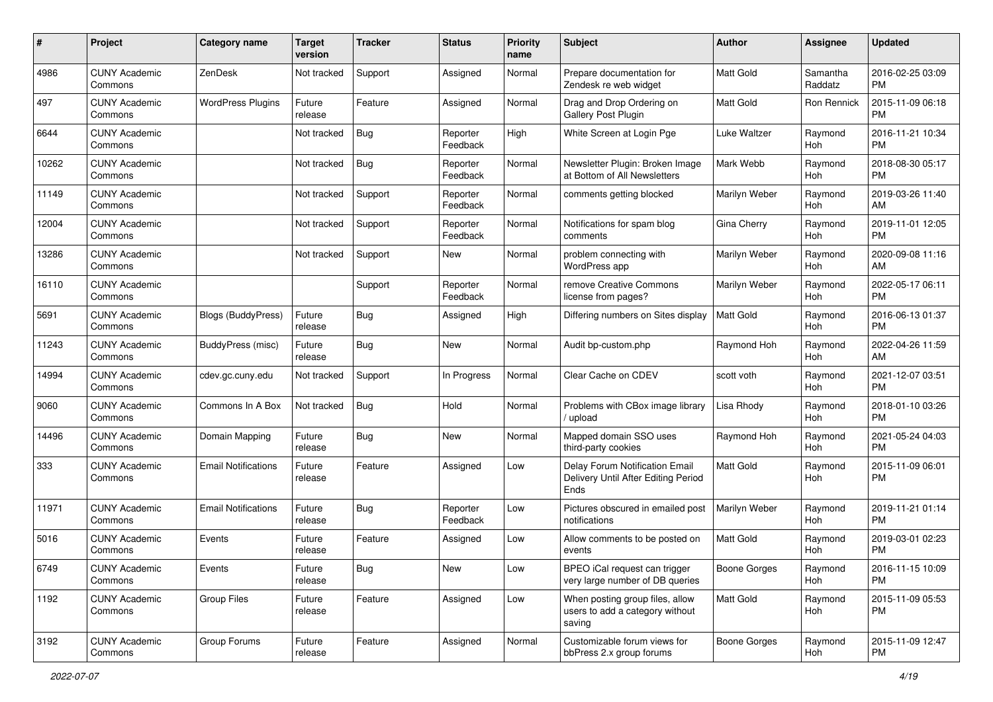| #     | Project                         | <b>Category name</b>       | <b>Target</b><br>version | <b>Tracker</b> | <b>Status</b>        | <b>Priority</b><br>name | <b>Subject</b>                                                                | Author           | <b>Assignee</b>     | <b>Updated</b>                |
|-------|---------------------------------|----------------------------|--------------------------|----------------|----------------------|-------------------------|-------------------------------------------------------------------------------|------------------|---------------------|-------------------------------|
| 4986  | <b>CUNY Academic</b><br>Commons | ZenDesk                    | Not tracked              | Support        | Assigned             | Normal                  | Prepare documentation for<br>Zendesk re web widget                            | <b>Matt Gold</b> | Samantha<br>Raddatz | 2016-02-25 03:09<br>PM        |
| 497   | <b>CUNY Academic</b><br>Commons | <b>WordPress Plugins</b>   | Future<br>release        | Feature        | Assigned             | Normal                  | Drag and Drop Ordering on<br>Gallery Post Plugin                              | <b>Matt Gold</b> | <b>Ron Rennick</b>  | 2015-11-09 06:18<br><b>PM</b> |
| 6644  | <b>CUNY Academic</b><br>Commons |                            | Not tracked              | <b>Bug</b>     | Reporter<br>Feedback | High                    | White Screen at Login Pge                                                     | Luke Waltzer     | Raymond<br>Hoh      | 2016-11-21 10:34<br><b>PM</b> |
| 10262 | <b>CUNY Academic</b><br>Commons |                            | Not tracked              | Bug            | Reporter<br>Feedback | Normal                  | Newsletter Plugin: Broken Image<br>at Bottom of All Newsletters               | Mark Webb        | Ravmond<br>Hoh      | 2018-08-30 05:17<br><b>PM</b> |
| 11149 | <b>CUNY Academic</b><br>Commons |                            | Not tracked              | Support        | Reporter<br>Feedback | Normal                  | comments getting blocked                                                      | Marilyn Weber    | Raymond<br>Hoh      | 2019-03-26 11:40<br>AM        |
| 12004 | <b>CUNY Academic</b><br>Commons |                            | Not tracked              | Support        | Reporter<br>Feedback | Normal                  | Notifications for spam blog<br>comments                                       | Gina Cherry      | Raymond<br>Hoh      | 2019-11-01 12:05<br><b>PM</b> |
| 13286 | <b>CUNY Academic</b><br>Commons |                            | Not tracked              | Support        | New                  | Normal                  | problem connecting with<br>WordPress app                                      | Marilyn Weber    | Raymond<br>Hoh      | 2020-09-08 11:16<br>AM        |
| 16110 | <b>CUNY Academic</b><br>Commons |                            |                          | Support        | Reporter<br>Feedback | Normal                  | remove Creative Commons<br>license from pages?                                | Marilyn Weber    | Raymond<br>Hoh      | 2022-05-17 06:11<br>PM        |
| 5691  | <b>CUNY Academic</b><br>Commons | Blogs (BuddyPress)         | Future<br>release        | <b>Bug</b>     | Assigned             | High                    | Differing numbers on Sites display                                            | Matt Gold        | Raymond<br>Hoh      | 2016-06-13 01:37<br><b>PM</b> |
| 11243 | <b>CUNY Academic</b><br>Commons | <b>BuddyPress</b> (misc)   | Future<br>release        | Bug            | New                  | Normal                  | Audit bp-custom.php                                                           | Raymond Hoh      | Raymond<br>Hoh      | 2022-04-26 11:59<br>AM        |
| 14994 | <b>CUNY Academic</b><br>Commons | cdev.gc.cuny.edu           | Not tracked              | Support        | In Progress          | Normal                  | Clear Cache on CDEV                                                           | scott voth       | Raymond<br>Hoh      | 2021-12-07 03:51<br><b>PM</b> |
| 9060  | <b>CUNY Academic</b><br>Commons | Commons In A Box           | Not tracked              | <b>Bug</b>     | Hold                 | Normal                  | Problems with CBox image library<br>upload                                    | Lisa Rhody       | Raymond<br>Hoh      | 2018-01-10 03:26<br><b>PM</b> |
| 14496 | <b>CUNY Academic</b><br>Commons | Domain Mapping             | Future<br>release        | <b>Bug</b>     | New                  | Normal                  | Mapped domain SSO uses<br>third-party cookies                                 | Raymond Hoh      | Raymond<br>Hoh      | 2021-05-24 04:03<br><b>PM</b> |
| 333   | <b>CUNY Academic</b><br>Commons | <b>Email Notifications</b> | Future<br>release        | Feature        | Assigned             | Low                     | Delay Forum Notification Email<br>Delivery Until After Editing Period<br>Ends | Matt Gold        | Raymond<br>Hoh      | 2015-11-09 06:01<br><b>PM</b> |
| 11971 | <b>CUNY Academic</b><br>Commons | <b>Email Notifications</b> | Future<br>release        | Bug            | Reporter<br>Feedback | Low                     | Pictures obscured in emailed post<br>notifications                            | Marilyn Weber    | Raymond<br>Hoh      | 2019-11-21 01:14<br><b>PM</b> |
| 5016  | <b>CUNY Academic</b><br>Commons | Events                     | Future<br>release        | Feature        | Assigned             | Low                     | Allow comments to be posted on<br>events                                      | <b>Matt Gold</b> | Raymond<br>Hoh      | 2019-03-01 02:23<br><b>PM</b> |
| 6749  | <b>CUNY Academic</b><br>Commons | Events                     | Future<br>release        | Bug            | New                  | Low                     | BPEO iCal request can trigger<br>very large number of DB queries              | Boone Gorges     | Raymond<br>Hoh      | 2016-11-15 10:09<br><b>PM</b> |
| 1192  | <b>CUNY Academic</b><br>Commons | Group Files                | Future<br>release        | Feature        | Assigned             | Low                     | When posting group files, allow<br>users to add a category without<br>saving  | Matt Gold        | Raymond<br>Hoh      | 2015-11-09 05:53<br><b>PM</b> |
| 3192  | <b>CUNY Academic</b><br>Commons | Group Forums               | Future<br>release        | Feature        | Assigned             | Normal                  | Customizable forum views for<br>bbPress 2.x group forums                      | Boone Gorges     | Raymond<br>Hoh      | 2015-11-09 12:47<br><b>PM</b> |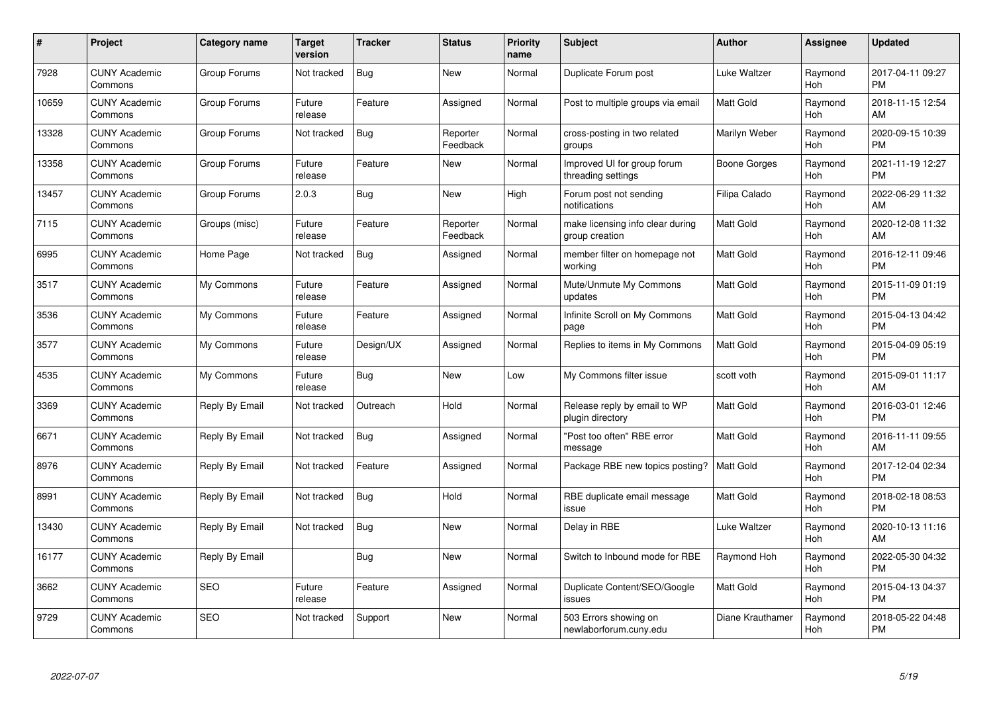| $\#$  | Project                         | <b>Category name</b> | <b>Target</b><br>version | <b>Tracker</b> | <b>Status</b>        | <b>Priority</b><br>name | <b>Subject</b>                                     | <b>Author</b>       | <b>Assignee</b> | <b>Updated</b>                |
|-------|---------------------------------|----------------------|--------------------------|----------------|----------------------|-------------------------|----------------------------------------------------|---------------------|-----------------|-------------------------------|
| 7928  | <b>CUNY Academic</b><br>Commons | Group Forums         | Not tracked              | Bug            | <b>New</b>           | Normal                  | Duplicate Forum post                               | <b>Luke Waltzer</b> | Raymond<br>Hoh  | 2017-04-11 09:27<br><b>PM</b> |
| 10659 | <b>CUNY Academic</b><br>Commons | Group Forums         | Future<br>release        | Feature        | Assigned             | Normal                  | Post to multiple groups via email                  | <b>Matt Gold</b>    | Raymond<br>Hoh  | 2018-11-15 12:54<br>AM        |
| 13328 | <b>CUNY Academic</b><br>Commons | Group Forums         | Not tracked              | <b>Bug</b>     | Reporter<br>Feedback | Normal                  | cross-posting in two related<br>groups             | Marilyn Weber       | Raymond<br>Hoh  | 2020-09-15 10:39<br><b>PM</b> |
| 13358 | <b>CUNY Academic</b><br>Commons | Group Forums         | Future<br>release        | Feature        | <b>New</b>           | Normal                  | Improved UI for group forum<br>threading settings  | Boone Gorges        | Raymond<br>Hoh  | 2021-11-19 12:27<br><b>PM</b> |
| 13457 | <b>CUNY Academic</b><br>Commons | Group Forums         | 2.0.3                    | <b>Bug</b>     | New                  | High                    | Forum post not sending<br>notifications            | Filipa Calado       | Raymond<br>Hoh  | 2022-06-29 11:32<br>AM        |
| 7115  | <b>CUNY Academic</b><br>Commons | Groups (misc)        | Future<br>release        | Feature        | Reporter<br>Feedback | Normal                  | make licensing info clear during<br>group creation | <b>Matt Gold</b>    | Raymond<br>Hoh  | 2020-12-08 11:32<br>AM        |
| 6995  | <b>CUNY Academic</b><br>Commons | Home Page            | Not tracked              | <b>Bug</b>     | Assigned             | Normal                  | member filter on homepage not<br>working           | Matt Gold           | Raymond<br>Hoh  | 2016-12-11 09:46<br><b>PM</b> |
| 3517  | <b>CUNY Academic</b><br>Commons | My Commons           | Future<br>release        | Feature        | Assigned             | Normal                  | Mute/Unmute My Commons<br>updates                  | Matt Gold           | Raymond<br>Hoh  | 2015-11-09 01:19<br><b>PM</b> |
| 3536  | <b>CUNY Academic</b><br>Commons | My Commons           | Future<br>release        | Feature        | Assigned             | Normal                  | Infinite Scroll on My Commons<br>page              | <b>Matt Gold</b>    | Raymond<br>Hoh  | 2015-04-13 04:42<br><b>PM</b> |
| 3577  | <b>CUNY Academic</b><br>Commons | My Commons           | Future<br>release        | Design/UX      | Assigned             | Normal                  | Replies to items in My Commons                     | <b>Matt Gold</b>    | Raymond<br>Hoh  | 2015-04-09 05:19<br>PM        |
| 4535  | <b>CUNY Academic</b><br>Commons | My Commons           | Future<br>release        | Bug            | New                  | Low                     | My Commons filter issue                            | scott voth          | Raymond<br>Hoh  | 2015-09-01 11:17<br>AM        |
| 3369  | <b>CUNY Academic</b><br>Commons | Reply By Email       | Not tracked              | Outreach       | Hold                 | Normal                  | Release reply by email to WP<br>plugin directory   | Matt Gold           | Raymond<br>Hoh  | 2016-03-01 12:46<br><b>PM</b> |
| 6671  | <b>CUNY Academic</b><br>Commons | Reply By Email       | Not tracked              | <b>Bug</b>     | Assigned             | Normal                  | "Post too often" RBE error<br>message              | <b>Matt Gold</b>    | Raymond<br>Hoh  | 2016-11-11 09:55<br>AM        |
| 8976  | <b>CUNY Academic</b><br>Commons | Reply By Email       | Not tracked              | Feature        | Assigned             | Normal                  | Package RBE new topics posting?                    | Matt Gold           | Raymond<br>Hoh  | 2017-12-04 02:34<br><b>PM</b> |
| 8991  | <b>CUNY Academic</b><br>Commons | Reply By Email       | Not tracked              | <b>Bug</b>     | Hold                 | Normal                  | RBE duplicate email message<br>issue               | Matt Gold           | Raymond<br>Hoh  | 2018-02-18 08:53<br><b>PM</b> |
| 13430 | <b>CUNY Academic</b><br>Commons | Reply By Email       | Not tracked              | <b>Bug</b>     | New                  | Normal                  | Delay in RBE                                       | Luke Waltzer        | Raymond<br>Hoh  | 2020-10-13 11:16<br>AM        |
| 16177 | <b>CUNY Academic</b><br>Commons | Reply By Email       |                          | Bug            | New                  | Normal                  | Switch to Inbound mode for RBE                     | Raymond Hoh         | Raymond<br>Hoh  | 2022-05-30 04:32<br><b>PM</b> |
| 3662  | <b>CUNY Academic</b><br>Commons | SEO                  | Future<br>release        | Feature        | Assigned             | Normal                  | Duplicate Content/SEO/Google<br>issues             | Matt Gold           | Raymond<br>Hoh  | 2015-04-13 04:37<br><b>PM</b> |
| 9729  | <b>CUNY Academic</b><br>Commons | <b>SEO</b>           | Not tracked              | Support        | <b>New</b>           | Normal                  | 503 Errors showing on<br>newlaborforum.cuny.edu    | Diane Krauthamer    | Raymond<br>Hoh  | 2018-05-22 04:48<br><b>PM</b> |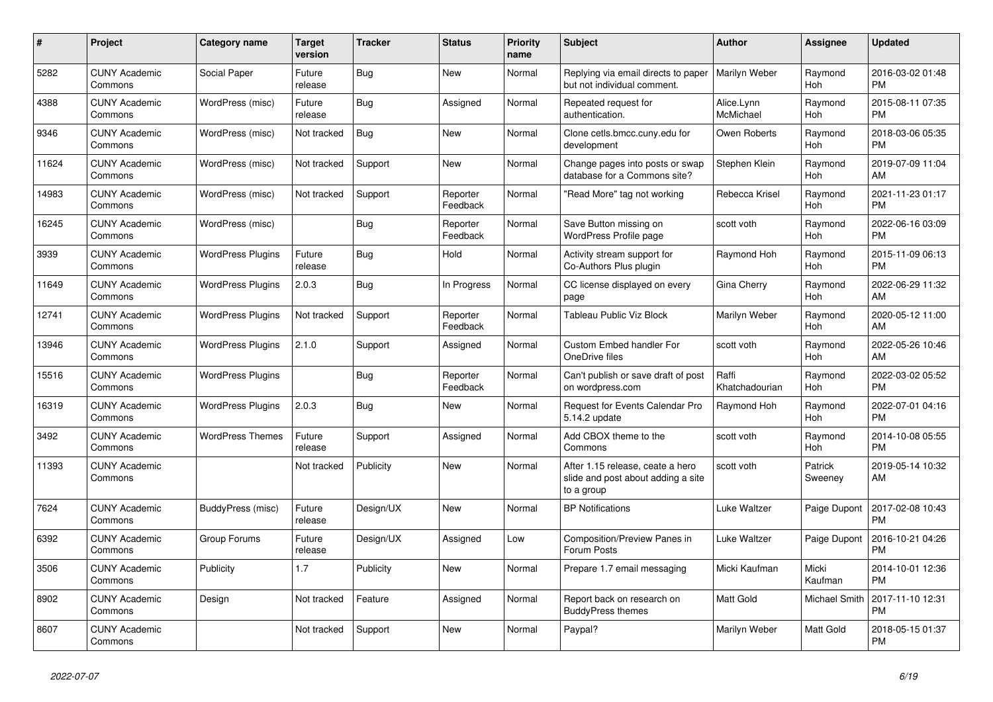| #     | Project                         | <b>Category name</b>     | <b>Target</b><br>version | <b>Tracker</b> | <b>Status</b>        | <b>Priority</b><br>name | <b>Subject</b>                                                                       | <b>Author</b>           | <b>Assignee</b>    | <b>Updated</b>                |
|-------|---------------------------------|--------------------------|--------------------------|----------------|----------------------|-------------------------|--------------------------------------------------------------------------------------|-------------------------|--------------------|-------------------------------|
| 5282  | <b>CUNY Academic</b><br>Commons | Social Paper             | Future<br>release        | Bug            | <b>New</b>           | Normal                  | Replying via email directs to paper<br>but not individual comment.                   | Marilyn Weber           | Raymond<br>Hoh     | 2016-03-02 01:48<br><b>PM</b> |
| 4388  | <b>CUNY Academic</b><br>Commons | WordPress (misc)         | Future<br>release        | Bug            | Assigned             | Normal                  | Repeated request for<br>authentication.                                              | Alice.Lynn<br>McMichael | Raymond<br>Hoh     | 2015-08-11 07:35<br><b>PM</b> |
| 9346  | <b>CUNY Academic</b><br>Commons | WordPress (misc)         | Not tracked              | Bug            | New                  | Normal                  | Clone cetls.bmcc.cuny.edu for<br>development                                         | Owen Roberts            | Raymond<br>Hoh     | 2018-03-06 05:35<br><b>PM</b> |
| 11624 | <b>CUNY Academic</b><br>Commons | WordPress (misc)         | Not tracked              | Support        | <b>New</b>           | Normal                  | Change pages into posts or swap<br>database for a Commons site?                      | Stephen Klein           | Raymond<br>Hoh     | 2019-07-09 11:04<br>AM        |
| 14983 | <b>CUNY Academic</b><br>Commons | WordPress (misc)         | Not tracked              | Support        | Reporter<br>Feedback | Normal                  | "Read More" tag not working                                                          | Rebecca Krisel          | Raymond<br>Hoh     | 2021-11-23 01:17<br><b>PM</b> |
| 16245 | <b>CUNY Academic</b><br>Commons | WordPress (misc)         |                          | Bug            | Reporter<br>Feedback | Normal                  | Save Button missing on<br><b>WordPress Profile page</b>                              | scott voth              | Raymond<br>Hoh     | 2022-06-16 03:09<br><b>PM</b> |
| 3939  | <b>CUNY Academic</b><br>Commons | <b>WordPress Plugins</b> | Future<br>release        | <b>Bug</b>     | Hold                 | Normal                  | Activity stream support for<br>Co-Authors Plus plugin                                | Raymond Hoh             | Raymond<br>Hoh     | 2015-11-09 06:13<br><b>PM</b> |
| 11649 | <b>CUNY Academic</b><br>Commons | <b>WordPress Plugins</b> | 2.0.3                    | Bug            | In Progress          | Normal                  | CC license displayed on every<br>page                                                | Gina Cherry             | Raymond<br>Hoh     | 2022-06-29 11:32<br>AM        |
| 12741 | <b>CUNY Academic</b><br>Commons | <b>WordPress Plugins</b> | Not tracked              | Support        | Reporter<br>Feedback | Normal                  | Tableau Public Viz Block                                                             | Marilyn Weber           | Raymond<br>Hoh     | 2020-05-12 11:00<br>AM        |
| 13946 | <b>CUNY Academic</b><br>Commons | <b>WordPress Plugins</b> | 2.1.0                    | Support        | Assigned             | Normal                  | Custom Embed handler For<br>OneDrive files                                           | scott voth              | Raymond<br>Hoh     | 2022-05-26 10:46<br>AM        |
| 15516 | <b>CUNY Academic</b><br>Commons | <b>WordPress Plugins</b> |                          | Bug            | Reporter<br>Feedback | Normal                  | Can't publish or save draft of post<br>on wordpress.com                              | Raffi<br>Khatchadourian | Raymond<br>Hoh     | 2022-03-02 05:52<br><b>PM</b> |
| 16319 | <b>CUNY Academic</b><br>Commons | <b>WordPress Plugins</b> | 2.0.3                    | Bug            | New                  | Normal                  | Request for Events Calendar Pro<br>5.14.2 update                                     | Raymond Hoh             | Raymond<br>Hoh     | 2022-07-01 04:16<br><b>PM</b> |
| 3492  | <b>CUNY Academic</b><br>Commons | <b>WordPress Themes</b>  | Future<br>release        | Support        | Assigned             | Normal                  | Add CBOX theme to the<br>Commons                                                     | scott voth              | Raymond<br>Hoh     | 2014-10-08 05:55<br><b>PM</b> |
| 11393 | <b>CUNY Academic</b><br>Commons |                          | Not tracked              | Publicity      | <b>New</b>           | Normal                  | After 1.15 release, ceate a hero<br>slide and post about adding a site<br>to a group | scott voth              | Patrick<br>Sweeney | 2019-05-14 10:32<br>AM        |
| 7624  | <b>CUNY Academic</b><br>Commons | BuddyPress (misc)        | Future<br>release        | Design/UX      | <b>New</b>           | Normal                  | <b>BP Notifications</b>                                                              | Luke Waltzer            | Paige Dupont       | 2017-02-08 10:43<br><b>PM</b> |
| 6392  | <b>CUNY Academic</b><br>Commons | Group Forums             | Future<br>release        | Design/UX      | Assigned             | Low                     | Composition/Preview Panes in<br>Forum Posts                                          | Luke Waltzer            | Paige Dupont       | 2016-10-21 04:26<br><b>PM</b> |
| 3506  | <b>CUNY Academic</b><br>Commons | Publicity                | 1.7                      | Publicity      | New                  | Normal                  | Prepare 1.7 email messaging                                                          | Micki Kaufman           | Micki<br>Kaufman   | 2014-10-01 12:36<br><b>PM</b> |
| 8902  | <b>CUNY Academic</b><br>Commons | Design                   | Not tracked              | Feature        | Assigned             | Normal                  | Report back on research on<br><b>BuddyPress themes</b>                               | <b>Matt Gold</b>        | Michael Smith      | 2017-11-10 12:31<br><b>PM</b> |
| 8607  | <b>CUNY Academic</b><br>Commons |                          | Not tracked              | Support        | <b>New</b>           | Normal                  | Paypal?                                                                              | Marilyn Weber           | Matt Gold          | 2018-05-15 01:37<br><b>PM</b> |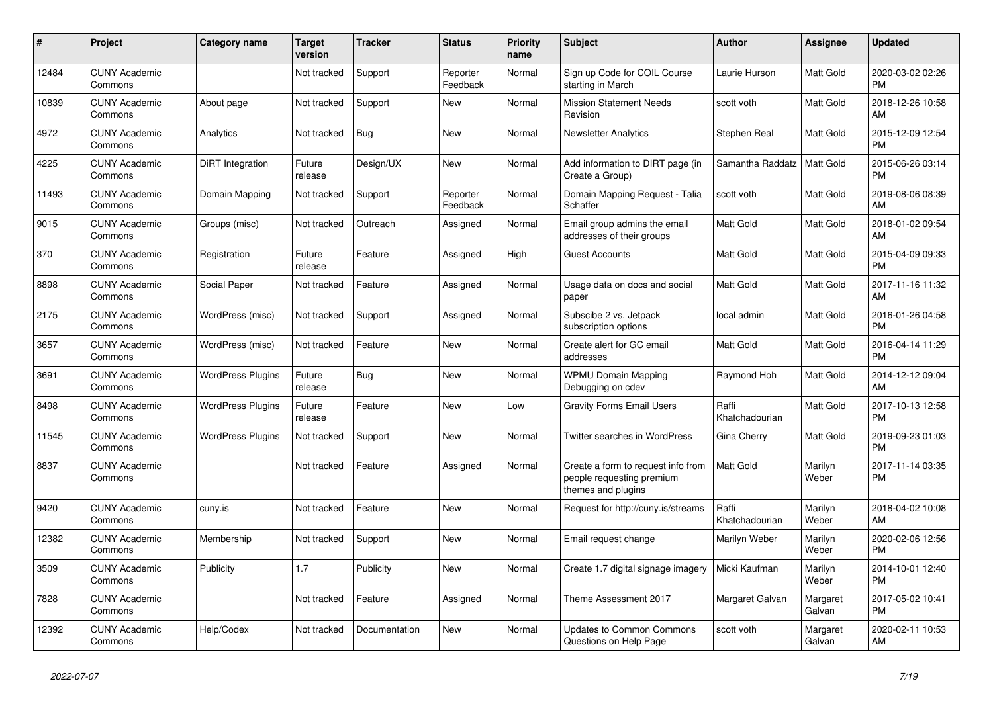| #     | <b>Project</b>                  | <b>Category name</b>     | <b>Target</b><br>version | <b>Tracker</b> | <b>Status</b>        | <b>Priority</b><br>name | <b>Subject</b>                                                                        | <b>Author</b>           | Assignee           | <b>Updated</b>                |
|-------|---------------------------------|--------------------------|--------------------------|----------------|----------------------|-------------------------|---------------------------------------------------------------------------------------|-------------------------|--------------------|-------------------------------|
| 12484 | <b>CUNY Academic</b><br>Commons |                          | Not tracked              | Support        | Reporter<br>Feedback | Normal                  | Sign up Code for COIL Course<br>starting in March                                     | Laurie Hurson           | Matt Gold          | 2020-03-02 02:26<br><b>PM</b> |
| 10839 | <b>CUNY Academic</b><br>Commons | About page               | Not tracked              | Support        | New                  | Normal                  | <b>Mission Statement Needs</b><br>Revision                                            | scott voth              | Matt Gold          | 2018-12-26 10:58<br>AM        |
| 4972  | <b>CUNY Academic</b><br>Commons | Analytics                | Not tracked              | Bug            | <b>New</b>           | Normal                  | <b>Newsletter Analytics</b>                                                           | Stephen Real            | Matt Gold          | 2015-12-09 12:54<br><b>PM</b> |
| 4225  | <b>CUNY Academic</b><br>Commons | <b>DiRT</b> Integration  | Future<br>release        | Design/UX      | <b>New</b>           | Normal                  | Add information to DIRT page (in<br>Create a Group)                                   | Samantha Raddatz        | Matt Gold          | 2015-06-26 03:14<br><b>PM</b> |
| 11493 | <b>CUNY Academic</b><br>Commons | Domain Mapping           | Not tracked              | Support        | Reporter<br>Feedback | Normal                  | Domain Mapping Request - Talia<br>Schaffer                                            | scott voth              | Matt Gold          | 2019-08-06 08:39<br>AM        |
| 9015  | <b>CUNY Academic</b><br>Commons | Groups (misc)            | Not tracked              | Outreach       | Assigned             | Normal                  | Email group admins the email<br>addresses of their groups                             | Matt Gold               | Matt Gold          | 2018-01-02 09:54<br>AM        |
| 370   | <b>CUNY Academic</b><br>Commons | Registration             | Future<br>release        | Feature        | Assigned             | High                    | <b>Guest Accounts</b>                                                                 | <b>Matt Gold</b>        | Matt Gold          | 2015-04-09 09:33<br><b>PM</b> |
| 8898  | <b>CUNY Academic</b><br>Commons | Social Paper             | Not tracked              | Feature        | Assigned             | Normal                  | Usage data on docs and social<br>paper                                                | <b>Matt Gold</b>        | Matt Gold          | 2017-11-16 11:32<br>AM        |
| 2175  | <b>CUNY Academic</b><br>Commons | WordPress (misc)         | Not tracked              | Support        | Assigned             | Normal                  | Subscibe 2 vs. Jetpack<br>subscription options                                        | local admin             | Matt Gold          | 2016-01-26 04:58<br><b>PM</b> |
| 3657  | <b>CUNY Academic</b><br>Commons | WordPress (misc)         | Not tracked              | Feature        | <b>New</b>           | Normal                  | Create alert for GC email<br>addresses                                                | <b>Matt Gold</b>        | Matt Gold          | 2016-04-14 11:29<br><b>PM</b> |
| 3691  | <b>CUNY Academic</b><br>Commons | <b>WordPress Plugins</b> | Future<br>release        | Bug            | <b>New</b>           | Normal                  | <b>WPMU Domain Mapping</b><br>Debugging on cdev                                       | Raymond Hoh             | Matt Gold          | 2014-12-12 09:04<br>AM        |
| 8498  | <b>CUNY Academic</b><br>Commons | <b>WordPress Plugins</b> | Future<br>release        | Feature        | New                  | Low                     | <b>Gravity Forms Email Users</b>                                                      | Raffi<br>Khatchadourian | Matt Gold          | 2017-10-13 12:58<br><b>PM</b> |
| 11545 | <b>CUNY Academic</b><br>Commons | <b>WordPress Plugins</b> | Not tracked              | Support        | New                  | Normal                  | Twitter searches in WordPress                                                         | Gina Cherry             | Matt Gold          | 2019-09-23 01:03<br><b>PM</b> |
| 8837  | <b>CUNY Academic</b><br>Commons |                          | Not tracked              | Feature        | Assigned             | Normal                  | Create a form to request info from<br>people requesting premium<br>themes and plugins | <b>Matt Gold</b>        | Marilyn<br>Weber   | 2017-11-14 03:35<br><b>PM</b> |
| 9420  | <b>CUNY Academic</b><br>Commons | cuny.is                  | Not tracked              | Feature        | New                  | Normal                  | Request for http://cuny.is/streams                                                    | Raffi<br>Khatchadourian | Marilyn<br>Weber   | 2018-04-02 10:08<br>AM        |
| 12382 | <b>CUNY Academic</b><br>Commons | Membership               | Not tracked              | Support        | <b>New</b>           | Normal                  | Email request change                                                                  | Marilyn Weber           | Marilyn<br>Weber   | 2020-02-06 12:56<br><b>PM</b> |
| 3509  | <b>CUNY Academic</b><br>Commons | Publicity                | 1.7                      | Publicity      | <b>New</b>           | Normal                  | Create 1.7 digital signage imagery                                                    | Micki Kaufman           | Marilyn<br>Weber   | 2014-10-01 12:40<br><b>PM</b> |
| 7828  | <b>CUNY Academic</b><br>Commons |                          | Not tracked              | Feature        | Assigned             | Normal                  | Theme Assessment 2017                                                                 | Margaret Galvan         | Margaret<br>Galvan | 2017-05-02 10:41<br><b>PM</b> |
| 12392 | <b>CUNY Academic</b><br>Commons | Help/Codex               | Not tracked              | Documentation  | <b>New</b>           | Normal                  | <b>Updates to Common Commons</b><br>Questions on Help Page                            | scott voth              | Margaret<br>Galvan | 2020-02-11 10:53<br>AM        |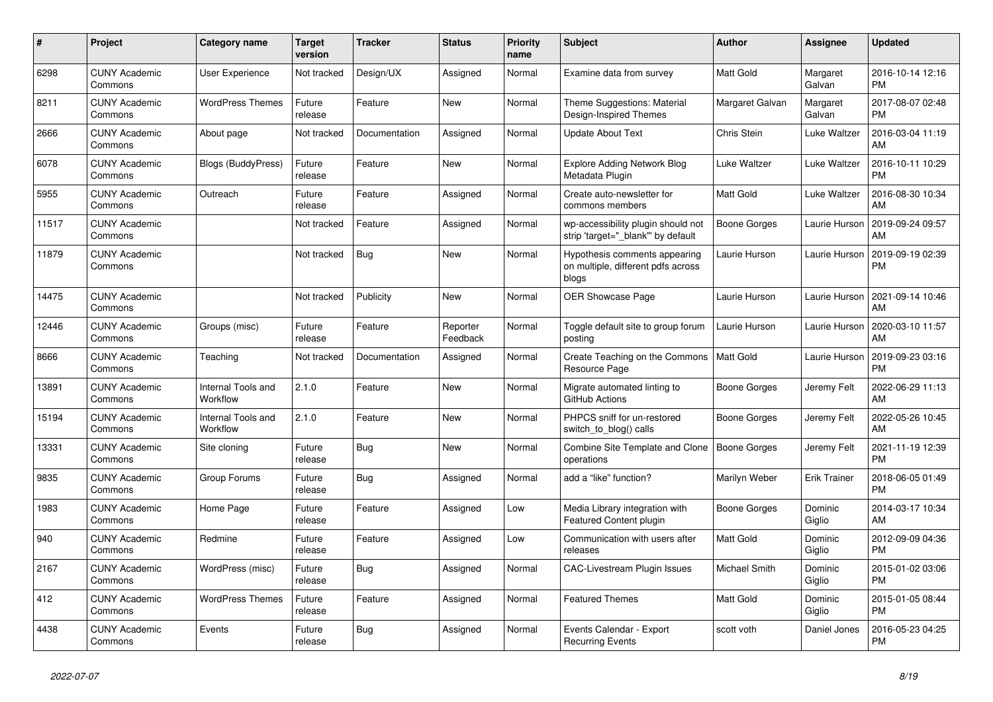| #     | <b>Project</b>                  | <b>Category name</b>           | <b>Target</b><br>version | <b>Tracker</b> | <b>Status</b>        | <b>Priority</b><br>name | <b>Subject</b>                                                               | <b>Author</b>       | <b>Assignee</b>     | <b>Updated</b>                |
|-------|---------------------------------|--------------------------------|--------------------------|----------------|----------------------|-------------------------|------------------------------------------------------------------------------|---------------------|---------------------|-------------------------------|
| 6298  | <b>CUNY Academic</b><br>Commons | User Experience                | Not tracked              | Design/UX      | Assigned             | Normal                  | Examine data from survey                                                     | Matt Gold           | Margaret<br>Galvan  | 2016-10-14 12:16<br><b>PM</b> |
| 8211  | <b>CUNY Academic</b><br>Commons | <b>WordPress Themes</b>        | Future<br>release        | Feature        | New                  | Normal                  | Theme Suggestions: Material<br>Design-Inspired Themes                        | Margaret Galvan     | Margaret<br>Galvan  | 2017-08-07 02:48<br><b>PM</b> |
| 2666  | <b>CUNY Academic</b><br>Commons | About page                     | Not tracked              | Documentation  | Assigned             | Normal                  | <b>Update About Text</b>                                                     | Chris Stein         | Luke Waltzer        | 2016-03-04 11:19<br>AM        |
| 6078  | <b>CUNY Academic</b><br>Commons | <b>Blogs (BuddyPress)</b>      | Future<br>release        | Feature        | <b>New</b>           | Normal                  | <b>Explore Adding Network Blog</b><br>Metadata Plugin                        | Luke Waltzer        | Luke Waltzer        | 2016-10-11 10:29<br><b>PM</b> |
| 5955  | <b>CUNY Academic</b><br>Commons | Outreach                       | Future<br>release        | Feature        | Assigned             | Normal                  | Create auto-newsletter for<br>commons members                                | Matt Gold           | Luke Waltzer        | 2016-08-30 10:34<br>AM        |
| 11517 | <b>CUNY Academic</b><br>Commons |                                | Not tracked              | Feature        | Assigned             | Normal                  | wp-accessibility plugin should not<br>strip 'target=" blank" by default      | <b>Boone Gorges</b> | Laurie Hurson       | 2019-09-24 09:57<br>AM        |
| 11879 | <b>CUNY Academic</b><br>Commons |                                | Not tracked              | Bug            | <b>New</b>           | Normal                  | Hypothesis comments appearing<br>on multiple, different pdfs across<br>blogs | Laurie Hurson       | Laurie Hurson       | 2019-09-19 02:39<br><b>PM</b> |
| 14475 | <b>CUNY Academic</b><br>Commons |                                | Not tracked              | Publicity      | New                  | Normal                  | OER Showcase Page                                                            | Laurie Hurson       | Laurie Hurson       | 2021-09-14 10:46<br>AM        |
| 12446 | <b>CUNY Academic</b><br>Commons | Groups (misc)                  | Future<br>release        | Feature        | Reporter<br>Feedback | Normal                  | Toggle default site to group forum<br>postina                                | Laurie Hurson       | Laurie Hurson       | 2020-03-10 11:57<br>AM        |
| 8666  | <b>CUNY Academic</b><br>Commons | Teaching                       | Not tracked              | Documentation  | Assigned             | Normal                  | Create Teaching on the Commons<br>Resource Page                              | Matt Gold           | Laurie Hurson       | 2019-09-23 03:16<br>PM        |
| 13891 | <b>CUNY Academic</b><br>Commons | Internal Tools and<br>Workflow | 2.1.0                    | Feature        | New                  | Normal                  | Migrate automated linting to<br>GitHub Actions                               | <b>Boone Gorges</b> | Jeremy Felt         | 2022-06-29 11:13<br>AM        |
| 15194 | <b>CUNY Academic</b><br>Commons | Internal Tools and<br>Workflow | 2.1.0                    | Feature        | New                  | Normal                  | PHPCS sniff for un-restored<br>switch_to_blog() calls                        | <b>Boone Gorges</b> | Jeremy Felt         | 2022-05-26 10:45<br>AM        |
| 13331 | <b>CUNY Academic</b><br>Commons | Site cloning                   | Future<br>release        | <b>Bug</b>     | <b>New</b>           | Normal                  | <b>Combine Site Template and Clone</b><br>operations                         | <b>Boone Gorges</b> | Jeremy Felt         | 2021-11-19 12:39<br><b>PM</b> |
| 9835  | <b>CUNY Academic</b><br>Commons | Group Forums                   | Future<br>release        | Bug            | Assigned             | Normal                  | add a "like" function?                                                       | Marilyn Weber       | <b>Erik Trainer</b> | 2018-06-05 01:49<br><b>PM</b> |
| 1983  | <b>CUNY Academic</b><br>Commons | Home Page                      | Future<br>release        | Feature        | Assigned             | Low                     | Media Library integration with<br>Featured Content plugin                    | Boone Gorges        | Dominic<br>Giglio   | 2014-03-17 10:34<br>AM        |
| 940   | <b>CUNY Academic</b><br>Commons | Redmine                        | Future<br>release        | Feature        | Assigned             | Low                     | Communication with users after<br>releases                                   | <b>Matt Gold</b>    | Dominic<br>Giglio   | 2012-09-09 04:36<br><b>PM</b> |
| 2167  | <b>CUNY Academic</b><br>Commons | WordPress (misc)               | Future<br>release        | Bug            | Assigned             | Normal                  | <b>CAC-Livestream Plugin Issues</b>                                          | Michael Smith       | Dominic<br>Giglio   | 2015-01-02 03:06<br><b>PM</b> |
| 412   | <b>CUNY Academic</b><br>Commons | <b>WordPress Themes</b>        | Future<br>release        | Feature        | Assigned             | Normal                  | <b>Featured Themes</b>                                                       | Matt Gold           | Dominic<br>Giglio   | 2015-01-05 08:44<br><b>PM</b> |
| 4438  | <b>CUNY Academic</b><br>Commons | Events                         | Future<br>release        | <b>Bug</b>     | Assigned             | Normal                  | Events Calendar - Export<br><b>Recurring Events</b>                          | scott voth          | Daniel Jones        | 2016-05-23 04:25<br><b>PM</b> |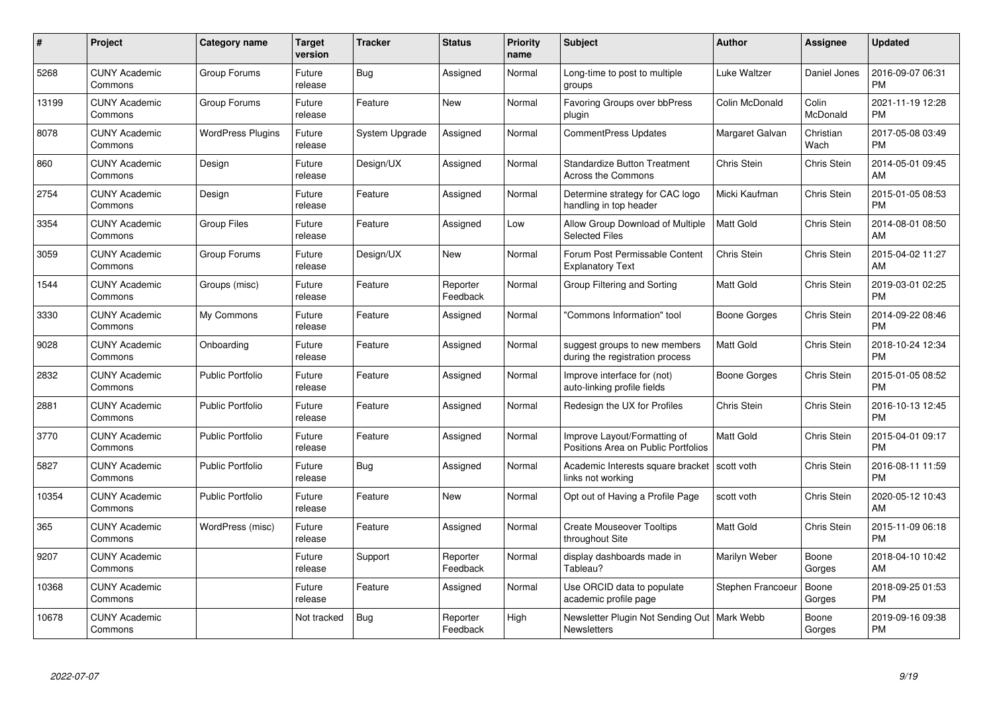| $\#$  | Project                         | <b>Category name</b>     | <b>Target</b><br>version | <b>Tracker</b> | <b>Status</b>        | <b>Priority</b><br>name | <b>Subject</b>                                                      | <b>Author</b>    | Assignee          | <b>Updated</b>                |
|-------|---------------------------------|--------------------------|--------------------------|----------------|----------------------|-------------------------|---------------------------------------------------------------------|------------------|-------------------|-------------------------------|
| 5268  | <b>CUNY Academic</b><br>Commons | Group Forums             | Future<br>release        | Bug            | Assigned             | Normal                  | Long-time to post to multiple<br>groups                             | Luke Waltzer     | Daniel Jones      | 2016-09-07 06:31<br><b>PM</b> |
| 13199 | <b>CUNY Academic</b><br>Commons | Group Forums             | Future<br>release        | Feature        | New                  | Normal                  | Favoring Groups over bbPress<br>plugin                              | Colin McDonald   | Colin<br>McDonald | 2021-11-19 12:28<br><b>PM</b> |
| 8078  | <b>CUNY Academic</b><br>Commons | <b>WordPress Plugins</b> | Future<br>release        | System Upgrade | Assigned             | Normal                  | CommentPress Updates                                                | Margaret Galvan  | Christian<br>Wach | 2017-05-08 03:49<br><b>PM</b> |
| 860   | <b>CUNY Academic</b><br>Commons | Design                   | Future<br>release        | Design/UX      | Assigned             | Normal                  | <b>Standardize Button Treatment</b><br>Across the Commons           | Chris Stein      | Chris Stein       | 2014-05-01 09:45<br>AM        |
| 2754  | <b>CUNY Academic</b><br>Commons | Design                   | Future<br>release        | Feature        | Assigned             | Normal                  | Determine strategy for CAC logo<br>handling in top header           | Micki Kaufman    | Chris Stein       | 2015-01-05 08:53<br><b>PM</b> |
| 3354  | <b>CUNY Academic</b><br>Commons | <b>Group Files</b>       | Future<br>release        | Feature        | Assigned             | Low                     | Allow Group Download of Multiple<br>Selected Files                  | <b>Matt Gold</b> | Chris Stein       | 2014-08-01 08:50<br>AM        |
| 3059  | <b>CUNY Academic</b><br>Commons | Group Forums             | Future<br>release        | Design/UX      | <b>New</b>           | Normal                  | Forum Post Permissable Content<br><b>Explanatory Text</b>           | Chris Stein      | Chris Stein       | 2015-04-02 11:27<br>AM        |
| 1544  | <b>CUNY Academic</b><br>Commons | Groups (misc)            | Future<br>release        | Feature        | Reporter<br>Feedback | Normal                  | Group Filtering and Sorting                                         | Matt Gold        | Chris Stein       | 2019-03-01 02:25<br><b>PM</b> |
| 3330  | <b>CUNY Academic</b><br>Commons | My Commons               | Future<br>release        | Feature        | Assigned             | Normal                  | "Commons Information" tool                                          | Boone Gorges     | Chris Stein       | 2014-09-22 08:46<br><b>PM</b> |
| 9028  | <b>CUNY Academic</b><br>Commons | Onboarding               | Future<br>release        | Feature        | Assigned             | Normal                  | suggest groups to new members<br>during the registration process    | <b>Matt Gold</b> | Chris Stein       | 2018-10-24 12:34<br><b>PM</b> |
| 2832  | <b>CUNY Academic</b><br>Commons | <b>Public Portfolio</b>  | Future<br>release        | Feature        | Assigned             | Normal                  | Improve interface for (not)<br>auto-linking profile fields          | Boone Gorges     | Chris Stein       | 2015-01-05 08:52<br><b>PM</b> |
| 2881  | <b>CUNY Academic</b><br>Commons | <b>Public Portfolio</b>  | Future<br>release        | Feature        | Assigned             | Normal                  | Redesign the UX for Profiles                                        | Chris Stein      | Chris Stein       | 2016-10-13 12:45<br><b>PM</b> |
| 3770  | <b>CUNY Academic</b><br>Commons | <b>Public Portfolio</b>  | Future<br>release        | Feature        | Assigned             | Normal                  | Improve Layout/Formatting of<br>Positions Area on Public Portfolios | Matt Gold        | Chris Stein       | 2015-04-01 09:17<br><b>PM</b> |
| 5827  | <b>CUNY Academic</b><br>Commons | <b>Public Portfolio</b>  | Future<br>release        | <b>Bug</b>     | Assigned             | Normal                  | Academic Interests square bracket   scott voth<br>links not working |                  | Chris Stein       | 2016-08-11 11:59<br><b>PM</b> |
| 10354 | <b>CUNY Academic</b><br>Commons | <b>Public Portfolio</b>  | Future<br>release        | Feature        | <b>New</b>           | Normal                  | Opt out of Having a Profile Page                                    | scott voth       | Chris Stein       | 2020-05-12 10:43<br>AM        |
| 365   | <b>CUNY Academic</b><br>Commons | WordPress (misc)         | Future<br>release        | Feature        | Assigned             | Normal                  | <b>Create Mouseover Tooltips</b><br>throughout Site                 | <b>Matt Gold</b> | Chris Stein       | 2015-11-09 06:18<br><b>PM</b> |
| 9207  | <b>CUNY Academic</b><br>Commons |                          | Future<br>release        | Support        | Reporter<br>Feedback | Normal                  | display dashboards made in<br>Tableau?                              | Marilyn Weber    | Boone<br>Gorges   | 2018-04-10 10:42<br>AM        |
| 10368 | <b>CUNY Academic</b><br>Commons |                          | Future<br>release        | Feature        | Assigned             | Normal                  | Use ORCID data to populate<br>academic profile page                 | Stephen Francoeu | Boone<br>Gorges   | 2018-09-25 01:53<br><b>PM</b> |
| 10678 | <b>CUNY Academic</b><br>Commons |                          | Not tracked              | <b>Bug</b>     | Reporter<br>Feedback | High                    | Newsletter Plugin Not Sending Out   Mark Webb<br><b>Newsletters</b> |                  | Boone<br>Gorges   | 2019-09-16 09:38<br>PM        |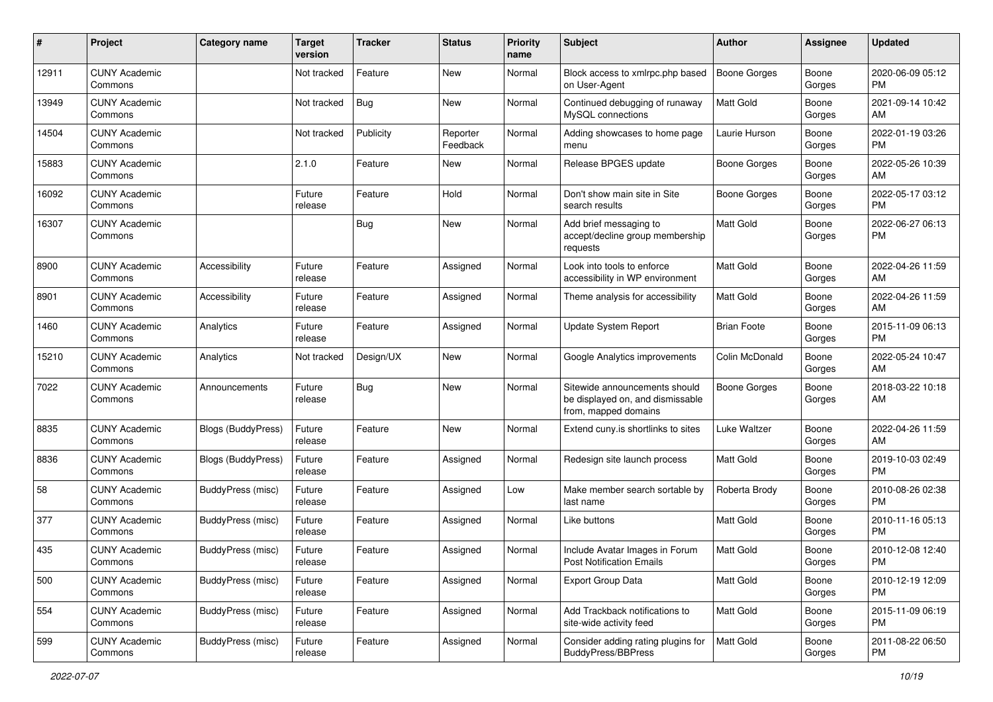| #     | Project                         | <b>Category name</b>      | <b>Target</b><br>version | <b>Tracker</b> | <b>Status</b>        | <b>Priority</b><br>name | <b>Subject</b>                                                                            | Author              | <b>Assignee</b> | <b>Updated</b>                |
|-------|---------------------------------|---------------------------|--------------------------|----------------|----------------------|-------------------------|-------------------------------------------------------------------------------------------|---------------------|-----------------|-------------------------------|
| 12911 | <b>CUNY Academic</b><br>Commons |                           | Not tracked              | Feature        | New                  | Normal                  | Block access to xmlrpc.php based<br>on User-Agent                                         | <b>Boone Gorges</b> | Boone<br>Gorges | 2020-06-09 05:12<br>PM        |
| 13949 | <b>CUNY Academic</b><br>Commons |                           | Not tracked              | <b>Bug</b>     | New                  | Normal                  | Continued debugging of runaway<br>MySQL connections                                       | <b>Matt Gold</b>    | Boone<br>Gorges | 2021-09-14 10:42<br>AM        |
| 14504 | <b>CUNY Academic</b><br>Commons |                           | Not tracked              | Publicity      | Reporter<br>Feedback | Normal                  | Adding showcases to home page<br>menu                                                     | Laurie Hurson       | Boone<br>Gorges | 2022-01-19 03:26<br>PM        |
| 15883 | <b>CUNY Academic</b><br>Commons |                           | 2.1.0                    | Feature        | New                  | Normal                  | Release BPGES update                                                                      | Boone Gorges        | Boone<br>Gorges | 2022-05-26 10:39<br>AM        |
| 16092 | <b>CUNY Academic</b><br>Commons |                           | Future<br>release        | Feature        | Hold                 | Normal                  | Don't show main site in Site<br>search results                                            | Boone Gorges        | Boone<br>Gorges | 2022-05-17 03:12<br>PM        |
| 16307 | <b>CUNY Academic</b><br>Commons |                           |                          | Bug            | New                  | Normal                  | Add brief messaging to<br>accept/decline group membership<br>requests                     | <b>Matt Gold</b>    | Boone<br>Gorges | 2022-06-27 06:13<br>PM        |
| 8900  | <b>CUNY Academic</b><br>Commons | Accessibility             | Future<br>release        | Feature        | Assigned             | Normal                  | Look into tools to enforce<br>accessibility in WP environment                             | Matt Gold           | Boone<br>Gorges | 2022-04-26 11:59<br>AM        |
| 8901  | <b>CUNY Academic</b><br>Commons | Accessibility             | Future<br>release        | Feature        | Assigned             | Normal                  | Theme analysis for accessibility                                                          | <b>Matt Gold</b>    | Boone<br>Gorges | 2022-04-26 11:59<br>AM        |
| 1460  | <b>CUNY Academic</b><br>Commons | Analytics                 | Future<br>release        | Feature        | Assigned             | Normal                  | Update System Report                                                                      | <b>Brian Foote</b>  | Boone<br>Gorges | 2015-11-09 06:13<br>PM        |
| 15210 | <b>CUNY Academic</b><br>Commons | Analytics                 | Not tracked              | Design/UX      | New                  | Normal                  | Google Analytics improvements                                                             | Colin McDonald      | Boone<br>Gorges | 2022-05-24 10:47<br>AM        |
| 7022  | <b>CUNY Academic</b><br>Commons | Announcements             | Future<br>release        | <b>Bug</b>     | New                  | Normal                  | Sitewide announcements should<br>be displayed on, and dismissable<br>from, mapped domains | <b>Boone Gorges</b> | Boone<br>Gorges | 2018-03-22 10:18<br>AM        |
| 8835  | <b>CUNY Academic</b><br>Commons | <b>Blogs (BuddyPress)</b> | Future<br>release        | Feature        | New                  | Normal                  | Extend cuny is shortlinks to sites                                                        | <b>Luke Waltzer</b> | Boone<br>Gorges | 2022-04-26 11:59<br>AM        |
| 8836  | <b>CUNY Academic</b><br>Commons | Blogs (BuddyPress)        | Future<br>release        | Feature        | Assigned             | Normal                  | Redesign site launch process                                                              | Matt Gold           | Boone<br>Gorges | 2019-10-03 02:49<br><b>PM</b> |
| 58    | <b>CUNY Academic</b><br>Commons | BuddyPress (misc)         | Future<br>release        | Feature        | Assigned             | Low                     | Make member search sortable by<br>last name                                               | Roberta Brody       | Boone<br>Gorges | 2010-08-26 02:38<br>PM        |
| 377   | <b>CUNY Academic</b><br>Commons | BuddyPress (misc)         | Future<br>release        | Feature        | Assigned             | Normal                  | Like buttons                                                                              | Matt Gold           | Boone<br>Gorges | 2010-11-16 05:13<br>PM        |
| 435   | <b>CUNY Academic</b><br>Commons | BuddyPress (misc)         | Future<br>release        | Feature        | Assigned             | Normal                  | Include Avatar Images in Forum<br><b>Post Notification Emails</b>                         | Matt Gold           | Boone<br>Gorges | 2010-12-08 12:40<br>PM        |
| 500   | <b>CUNY Academic</b><br>Commons | BuddyPress (misc)         | Future<br>release        | Feature        | Assigned             | Normal                  | <b>Export Group Data</b>                                                                  | Matt Gold           | Boone<br>Gorges | 2010-12-19 12:09<br><b>PM</b> |
| 554   | <b>CUNY Academic</b><br>Commons | BuddyPress (misc)         | Future<br>release        | Feature        | Assigned             | Normal                  | Add Trackback notifications to<br>site-wide activity feed                                 | Matt Gold           | Boone<br>Gorges | 2015-11-09 06:19<br><b>PM</b> |
| 599   | <b>CUNY Academic</b><br>Commons | BuddyPress (misc)         | Future<br>release        | Feature        | Assigned             | Normal                  | Consider adding rating plugins for<br>BuddyPress/BBPress                                  | Matt Gold           | Boone<br>Gorges | 2011-08-22 06:50<br><b>PM</b> |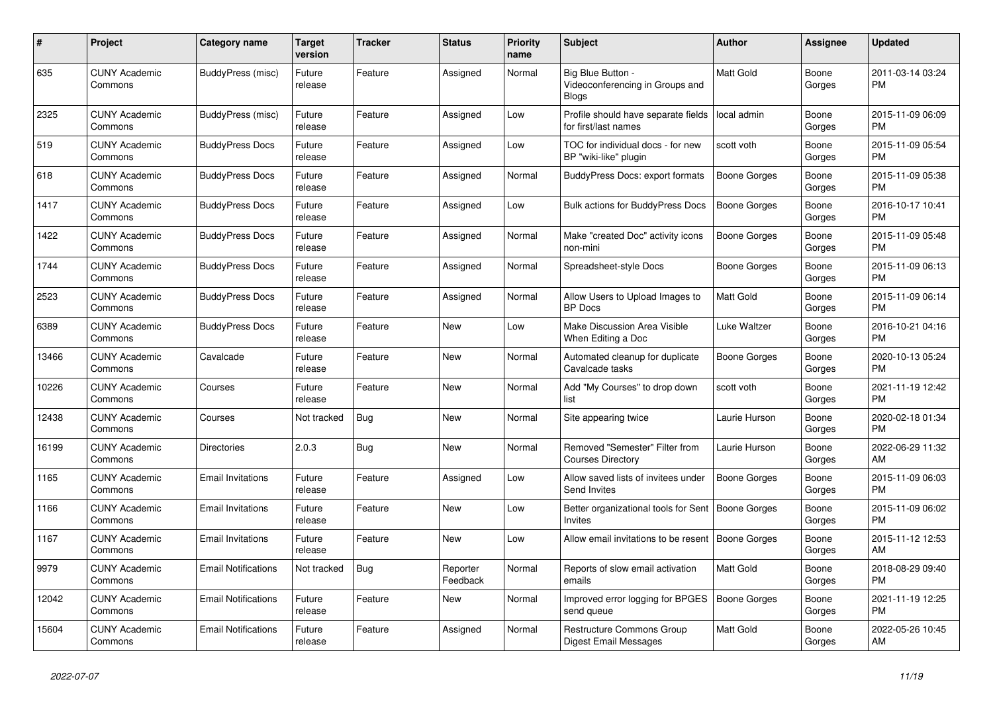| #     | <b>Project</b>                  | <b>Category name</b>       | <b>Target</b><br>version | <b>Tracker</b> | <b>Status</b>        | <b>Priority</b><br>name | <b>Subject</b>                                                       | <b>Author</b>       | Assignee        | <b>Updated</b>                |
|-------|---------------------------------|----------------------------|--------------------------|----------------|----------------------|-------------------------|----------------------------------------------------------------------|---------------------|-----------------|-------------------------------|
| 635   | <b>CUNY Academic</b><br>Commons | BuddyPress (misc)          | Future<br>release        | Feature        | Assigned             | Normal                  | Big Blue Button -<br>Videoconferencing in Groups and<br><b>Blogs</b> | <b>Matt Gold</b>    | Boone<br>Gorges | 2011-03-14 03:24<br>PM        |
| 2325  | <b>CUNY Academic</b><br>Commons | BuddyPress (misc)          | Future<br>release        | Feature        | Assigned             | Low                     | Profile should have separate fields<br>for first/last names          | local admin         | Boone<br>Gorges | 2015-11-09 06:09<br><b>PM</b> |
| 519   | <b>CUNY Academic</b><br>Commons | <b>BuddyPress Docs</b>     | Future<br>release        | Feature        | Assigned             | Low                     | TOC for individual docs - for new<br>BP "wiki-like" plugin           | scott voth          | Boone<br>Gorges | 2015-11-09 05:54<br>PM        |
| 618   | <b>CUNY Academic</b><br>Commons | <b>BuddyPress Docs</b>     | Future<br>release        | Feature        | Assigned             | Normal                  | <b>BuddyPress Docs: export formats</b>                               | Boone Gorges        | Boone<br>Gorges | 2015-11-09 05:38<br>PM        |
| 1417  | <b>CUNY Academic</b><br>Commons | <b>BuddyPress Docs</b>     | Future<br>release        | Feature        | Assigned             | Low                     | <b>Bulk actions for BuddyPress Docs</b>                              | Boone Gorges        | Boone<br>Gorges | 2016-10-17 10:41<br><b>PM</b> |
| 1422  | <b>CUNY Academic</b><br>Commons | <b>BuddyPress Docs</b>     | Future<br>release        | Feature        | Assigned             | Normal                  | Make "created Doc" activity icons<br>non-mini                        | Boone Gorges        | Boone<br>Gorges | 2015-11-09 05:48<br>PM        |
| 1744  | <b>CUNY Academic</b><br>Commons | <b>BuddyPress Docs</b>     | Future<br>release        | Feature        | Assigned             | Normal                  | Spreadsheet-style Docs                                               | Boone Gorges        | Boone<br>Gorges | 2015-11-09 06:13<br>PM        |
| 2523  | <b>CUNY Academic</b><br>Commons | <b>BuddyPress Docs</b>     | Future<br>release        | Feature        | Assigned             | Normal                  | Allow Users to Upload Images to<br><b>BP</b> Docs                    | Matt Gold           | Boone<br>Gorges | 2015-11-09 06:14<br><b>PM</b> |
| 6389  | <b>CUNY Academic</b><br>Commons | <b>BuddyPress Docs</b>     | Future<br>release        | Feature        | New                  | Low                     | Make Discussion Area Visible<br>When Editing a Doc                   | Luke Waltzer        | Boone<br>Gorges | 2016-10-21 04:16<br>PM        |
| 13466 | <b>CUNY Academic</b><br>Commons | Cavalcade                  | Future<br>release        | Feature        | <b>New</b>           | Normal                  | Automated cleanup for duplicate<br>Cavalcade tasks                   | Boone Gorges        | Boone<br>Gorges | 2020-10-13 05:24<br>PM        |
| 10226 | <b>CUNY Academic</b><br>Commons | Courses                    | Future<br>release        | Feature        | New                  | Normal                  | Add "My Courses" to drop down<br>list                                | scott voth          | Boone<br>Gorges | 2021-11-19 12:42<br><b>PM</b> |
| 12438 | <b>CUNY Academic</b><br>Commons | Courses                    | Not tracked              | <b>Bug</b>     | New                  | Normal                  | Site appearing twice                                                 | Laurie Hurson       | Boone<br>Gorges | 2020-02-18 01:34<br>PM        |
| 16199 | <b>CUNY Academic</b><br>Commons | Directories                | 2.0.3                    | <b>Bug</b>     | <b>New</b>           | Normal                  | Removed "Semester" Filter from<br><b>Courses Directory</b>           | Laurie Hurson       | Boone<br>Gorges | 2022-06-29 11:32<br>AM        |
| 1165  | <b>CUNY Academic</b><br>Commons | <b>Email Invitations</b>   | Future<br>release        | Feature        | Assigned             | Low                     | Allow saved lists of invitees under<br>Send Invites                  | Boone Gorges        | Boone<br>Gorges | 2015-11-09 06:03<br><b>PM</b> |
| 1166  | <b>CUNY Academic</b><br>Commons | <b>Email Invitations</b>   | Future<br>release        | Feature        | New                  | Low                     | Better organizational tools for Sent   Boone Gorges<br>Invites       |                     | Boone<br>Gorges | 2015-11-09 06:02<br>PM        |
| 1167  | <b>CUNY Academic</b><br>Commons | <b>Email Invitations</b>   | Future<br>release        | Feature        | <b>New</b>           | Low                     | Allow email invitations to be resent                                 | <b>Boone Gorges</b> | Boone<br>Gorges | 2015-11-12 12:53<br>AM        |
| 9979  | <b>CUNY Academic</b><br>Commons | <b>Email Notifications</b> | Not tracked              | <b>Bug</b>     | Reporter<br>Feedback | Normal                  | Reports of slow email activation<br>emails                           | <b>Matt Gold</b>    | Boone<br>Gorges | 2018-08-29 09:40<br><b>PM</b> |
| 12042 | <b>CUNY Academic</b><br>Commons | <b>Email Notifications</b> | Future<br>release        | Feature        | New                  | Normal                  | Improved error logging for BPGES<br>send queue                       | Boone Gorges        | Boone<br>Gorges | 2021-11-19 12:25<br>PM        |
| 15604 | <b>CUNY Academic</b><br>Commons | <b>Email Notifications</b> | Future<br>release        | Feature        | Assigned             | Normal                  | Restructure Commons Group<br>Digest Email Messages                   | Matt Gold           | Boone<br>Gorges | 2022-05-26 10:45<br>AM        |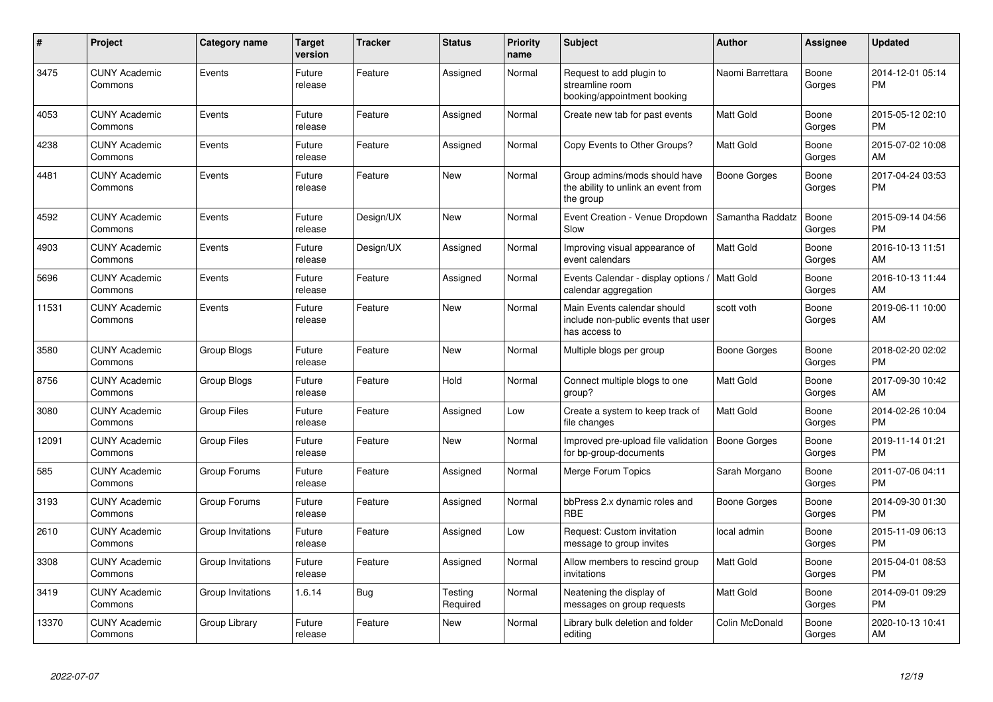| #     | Project                         | <b>Category name</b> | <b>Target</b><br>version | <b>Tracker</b> | <b>Status</b>       | <b>Priority</b><br>name | <b>Subject</b>                                                                      | <b>Author</b>       | <b>Assignee</b> | <b>Updated</b>                |
|-------|---------------------------------|----------------------|--------------------------|----------------|---------------------|-------------------------|-------------------------------------------------------------------------------------|---------------------|-----------------|-------------------------------|
| 3475  | <b>CUNY Academic</b><br>Commons | Events               | Future<br>release        | Feature        | Assigned            | Normal                  | Request to add plugin to<br>streamline room<br>booking/appointment booking          | Naomi Barrettara    | Boone<br>Gorges | 2014-12-01 05:14<br><b>PM</b> |
| 4053  | <b>CUNY Academic</b><br>Commons | Events               | Future<br>release        | Feature        | Assigned            | Normal                  | Create new tab for past events                                                      | <b>Matt Gold</b>    | Boone<br>Gorges | 2015-05-12 02:10<br><b>PM</b> |
| 4238  | <b>CUNY Academic</b><br>Commons | Events               | Future<br>release        | Feature        | Assigned            | Normal                  | Copy Events to Other Groups?                                                        | <b>Matt Gold</b>    | Boone<br>Gorges | 2015-07-02 10:08<br>AM        |
| 4481  | <b>CUNY Academic</b><br>Commons | Events               | Future<br>release        | Feature        | New                 | Normal                  | Group admins/mods should have<br>the ability to unlink an event from<br>the group   | <b>Boone Gorges</b> | Boone<br>Gorges | 2017-04-24 03:53<br><b>PM</b> |
| 4592  | <b>CUNY Academic</b><br>Commons | Events               | Future<br>release        | Design/UX      | <b>New</b>          | Normal                  | Event Creation - Venue Dropdown<br>Slow                                             | Samantha Raddatz    | Boone<br>Gorges | 2015-09-14 04:56<br>PM        |
| 4903  | <b>CUNY Academic</b><br>Commons | Events               | Future<br>release        | Design/UX      | Assigned            | Normal                  | Improving visual appearance of<br>event calendars                                   | <b>Matt Gold</b>    | Boone<br>Gorges | 2016-10-13 11:51<br>AM        |
| 5696  | <b>CUNY Academic</b><br>Commons | Events               | Future<br>release        | Feature        | Assigned            | Normal                  | Events Calendar - display options /   Matt Gold<br>calendar aggregation             |                     | Boone<br>Gorges | 2016-10-13 11:44<br>AM        |
| 11531 | <b>CUNY Academic</b><br>Commons | Events               | Future<br>release        | Feature        | New                 | Normal                  | Main Events calendar should<br>include non-public events that user<br>has access to | scott voth          | Boone<br>Gorges | 2019-06-11 10:00<br>AM        |
| 3580  | <b>CUNY Academic</b><br>Commons | Group Blogs          | Future<br>release        | Feature        | <b>New</b>          | Normal                  | Multiple blogs per group                                                            | Boone Gorges        | Boone<br>Gorges | 2018-02-20 02:02<br><b>PM</b> |
| 8756  | <b>CUNY Academic</b><br>Commons | <b>Group Blogs</b>   | Future<br>release        | Feature        | Hold                | Normal                  | Connect multiple blogs to one<br>group?                                             | <b>Matt Gold</b>    | Boone<br>Gorges | 2017-09-30 10:42<br>AM        |
| 3080  | <b>CUNY Academic</b><br>Commons | <b>Group Files</b>   | Future<br>release        | Feature        | Assigned            | Low                     | Create a system to keep track of<br>file changes                                    | <b>Matt Gold</b>    | Boone<br>Gorges | 2014-02-26 10:04<br><b>PM</b> |
| 12091 | <b>CUNY Academic</b><br>Commons | <b>Group Files</b>   | Future<br>release        | Feature        | New                 | Normal                  | Improved pre-upload file validation<br>for bp-group-documents                       | Boone Gorges        | Boone<br>Gorges | 2019-11-14 01:21<br><b>PM</b> |
| 585   | <b>CUNY Academic</b><br>Commons | Group Forums         | Future<br>release        | Feature        | Assigned            | Normal                  | Merge Forum Topics                                                                  | Sarah Morgano       | Boone<br>Gorges | 2011-07-06 04:11<br><b>PM</b> |
| 3193  | <b>CUNY Academic</b><br>Commons | Group Forums         | Future<br>release        | Feature        | Assigned            | Normal                  | bbPress 2.x dynamic roles and<br><b>RBE</b>                                         | Boone Gorges        | Boone<br>Gorges | 2014-09-30 01:30<br><b>PM</b> |
| 2610  | <b>CUNY Academic</b><br>Commons | Group Invitations    | Future<br>release        | Feature        | Assigned            | Low                     | Request: Custom invitation<br>message to group invites                              | local admin         | Boone<br>Gorges | 2015-11-09 06:13<br><b>PM</b> |
| 3308  | <b>CUNY Academic</b><br>Commons | Group Invitations    | Future<br>release        | Feature        | Assigned            | Normal                  | Allow members to rescind group<br>invitations                                       | <b>Matt Gold</b>    | Boone<br>Gorges | 2015-04-01 08:53<br><b>PM</b> |
| 3419  | <b>CUNY Academic</b><br>Commons | Group Invitations    | 1.6.14                   | Bug            | Testing<br>Required | Normal                  | Neatening the display of<br>messages on group requests                              | <b>Matt Gold</b>    | Boone<br>Gorges | 2014-09-01 09:29<br><b>PM</b> |
| 13370 | <b>CUNY Academic</b><br>Commons | Group Library        | Future<br>release        | Feature        | New                 | Normal                  | Library bulk deletion and folder<br>editing                                         | Colin McDonald      | Boone<br>Gorges | 2020-10-13 10:41<br>AM        |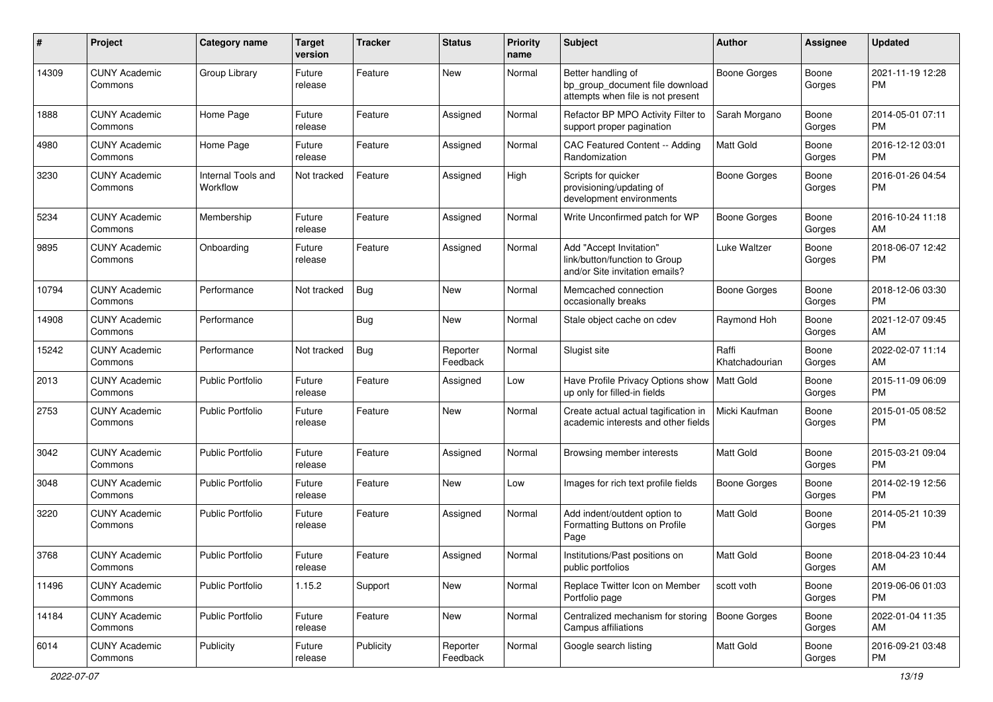| #     | Project                         | <b>Category name</b>           | <b>Target</b><br>version | <b>Tracker</b> | <b>Status</b>        | Priority<br>name | <b>Subject</b>                                                                             | Author                  | <b>Assignee</b> | <b>Updated</b>                |
|-------|---------------------------------|--------------------------------|--------------------------|----------------|----------------------|------------------|--------------------------------------------------------------------------------------------|-------------------------|-----------------|-------------------------------|
| 14309 | <b>CUNY Academic</b><br>Commons | Group Library                  | Future<br>release        | Feature        | New                  | Normal           | Better handling of<br>bp_group_document file download<br>attempts when file is not present | Boone Gorges            | Boone<br>Gorges | 2021-11-19 12:28<br><b>PM</b> |
| 1888  | <b>CUNY Academic</b><br>Commons | Home Page                      | Future<br>release        | Feature        | Assigned             | Normal           | Refactor BP MPO Activity Filter to<br>support proper pagination                            | Sarah Morgano           | Boone<br>Gorges | 2014-05-01 07:11<br><b>PM</b> |
| 4980  | <b>CUNY Academic</b><br>Commons | Home Page                      | Future<br>release        | Feature        | Assigned             | Normal           | CAC Featured Content -- Adding<br>Randomization                                            | <b>Matt Gold</b>        | Boone<br>Gorges | 2016-12-12 03:01<br><b>PM</b> |
| 3230  | <b>CUNY Academic</b><br>Commons | Internal Tools and<br>Workflow | Not tracked              | Feature        | Assigned             | High             | Scripts for quicker<br>provisioning/updating of<br>development environments                | <b>Boone Gorges</b>     | Boone<br>Gorges | 2016-01-26 04:54<br><b>PM</b> |
| 5234  | <b>CUNY Academic</b><br>Commons | Membership                     | Future<br>release        | Feature        | Assigned             | Normal           | Write Unconfirmed patch for WP                                                             | <b>Boone Gorges</b>     | Boone<br>Gorges | 2016-10-24 11:18<br>AM        |
| 9895  | <b>CUNY Academic</b><br>Commons | Onboarding                     | Future<br>release        | Feature        | Assigned             | Normal           | Add "Accept Invitation"<br>link/button/function to Group<br>and/or Site invitation emails? | Luke Waltzer            | Boone<br>Gorges | 2018-06-07 12:42<br><b>PM</b> |
| 10794 | <b>CUNY Academic</b><br>Commons | Performance                    | Not tracked              | Bug            | New                  | Normal           | Memcached connection<br>occasionally breaks                                                | <b>Boone Gorges</b>     | Boone<br>Gorges | 2018-12-06 03:30<br><b>PM</b> |
| 14908 | <b>CUNY Academic</b><br>Commons | Performance                    |                          | <b>Bug</b>     | New                  | Normal           | Stale object cache on cdev                                                                 | Raymond Hoh             | Boone<br>Gorges | 2021-12-07 09:45<br>AM        |
| 15242 | <b>CUNY Academic</b><br>Commons | Performance                    | Not tracked              | Bug            | Reporter<br>Feedback | Normal           | Slugist site                                                                               | Raffi<br>Khatchadourian | Boone<br>Gorges | 2022-02-07 11:14<br>AM        |
| 2013  | <b>CUNY Academic</b><br>Commons | Public Portfolio               | Future<br>release        | Feature        | Assigned             | Low              | Have Profile Privacy Options show<br>up only for filled-in fields                          | Matt Gold               | Boone<br>Gorges | 2015-11-09 06:09<br><b>PM</b> |
| 2753  | <b>CUNY Academic</b><br>Commons | <b>Public Portfolio</b>        | Future<br>release        | Feature        | New                  | Normal           | Create actual actual tagification in<br>academic interests and other fields                | Micki Kaufman           | Boone<br>Gorges | 2015-01-05 08:52<br><b>PM</b> |
| 3042  | <b>CUNY Academic</b><br>Commons | <b>Public Portfolio</b>        | Future<br>release        | Feature        | Assigned             | Normal           | Browsing member interests                                                                  | <b>Matt Gold</b>        | Boone<br>Gorges | 2015-03-21 09:04<br><b>PM</b> |
| 3048  | <b>CUNY Academic</b><br>Commons | Public Portfolio               | Future<br>release        | Feature        | New                  | Low              | Images for rich text profile fields                                                        | <b>Boone Gorges</b>     | Boone<br>Gorges | 2014-02-19 12:56<br><b>PM</b> |
| 3220  | <b>CUNY Academic</b><br>Commons | <b>Public Portfolio</b>        | Future<br>release        | Feature        | Assigned             | Normal           | Add indent/outdent option to<br>Formatting Buttons on Profile<br>Page                      | Matt Gold               | Boone<br>Gorges | 2014-05-21 10:39<br><b>PM</b> |
| 3768  | <b>CUNY Academic</b><br>Commons | <b>Public Portfolio</b>        | Future<br>release        | Feature        | Assigned             | Normal           | Institutions/Past positions on<br>public portfolios                                        | Matt Gold               | Boone<br>Gorges | 2018-04-23 10:44<br>AM        |
| 11496 | <b>CUNY Academic</b><br>Commons | <b>Public Portfolio</b>        | 1.15.2                   | Support        | New                  | Normal           | Replace Twitter Icon on Member<br>Portfolio page                                           | scott voth              | Boone<br>Gorges | 2019-06-06 01:03<br>PM        |
| 14184 | <b>CUNY Academic</b><br>Commons | Public Portfolio               | Future<br>release        | Feature        | New                  | Normal           | Centralized mechanism for storing<br>Campus affiliations                                   | Boone Gorges            | Boone<br>Gorges | 2022-01-04 11:35<br>AM        |
| 6014  | <b>CUNY Academic</b><br>Commons | Publicity                      | Future<br>release        | Publicity      | Reporter<br>Feedback | Normal           | Google search listing                                                                      | <b>Matt Gold</b>        | Boone<br>Gorges | 2016-09-21 03:48<br>PM        |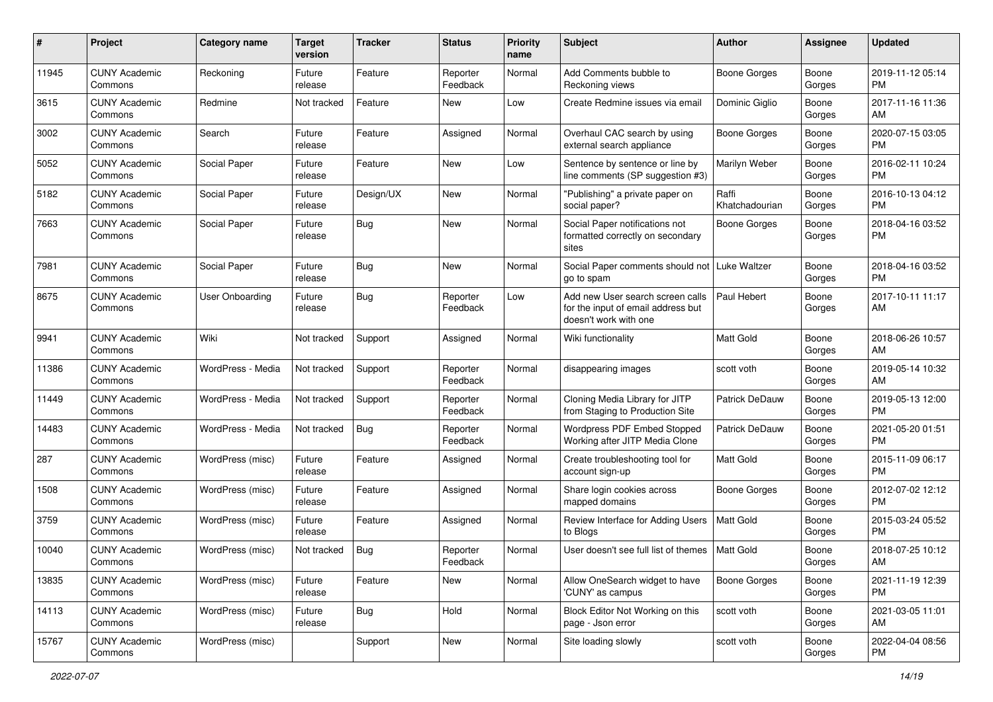| #     | Project                         | <b>Category name</b> | <b>Target</b><br>version | <b>Tracker</b> | <b>Status</b>        | <b>Priority</b><br>name | Subject                                                                                         | Author                  | Assignee        | <b>Updated</b>                |
|-------|---------------------------------|----------------------|--------------------------|----------------|----------------------|-------------------------|-------------------------------------------------------------------------------------------------|-------------------------|-----------------|-------------------------------|
| 11945 | <b>CUNY Academic</b><br>Commons | Reckoning            | Future<br>release        | Feature        | Reporter<br>Feedback | Normal                  | Add Comments bubble to<br>Reckoning views                                                       | <b>Boone Gorges</b>     | Boone<br>Gorges | 2019-11-12 05:14<br>PM        |
| 3615  | <b>CUNY Academic</b><br>Commons | Redmine              | Not tracked              | Feature        | New                  | Low                     | Create Redmine issues via email                                                                 | Dominic Giglio          | Boone<br>Gorges | 2017-11-16 11:36<br>AM        |
| 3002  | <b>CUNY Academic</b><br>Commons | Search               | Future<br>release        | Feature        | Assigned             | Normal                  | Overhaul CAC search by using<br>external search appliance                                       | Boone Gorges            | Boone<br>Gorges | 2020-07-15 03:05<br>PM        |
| 5052  | <b>CUNY Academic</b><br>Commons | Social Paper         | Future<br>release        | Feature        | New                  | Low                     | Sentence by sentence or line by<br>line comments (SP suggestion #3)                             | Marilyn Weber           | Boone<br>Gorges | 2016-02-11 10:24<br>PM        |
| 5182  | <b>CUNY Academic</b><br>Commons | Social Paper         | Future<br>release        | Design/UX      | New                  | Normal                  | "Publishing" a private paper on<br>social paper?                                                | Raffi<br>Khatchadourian | Boone<br>Gorges | 2016-10-13 04:12<br>PM        |
| 7663  | <b>CUNY Academic</b><br>Commons | Social Paper         | Future<br>release        | <b>Bug</b>     | New                  | Normal                  | Social Paper notifications not<br>formatted correctly on secondary<br>sites                     | Boone Gorges            | Boone<br>Gorges | 2018-04-16 03:52<br>PM        |
| 7981  | <b>CUNY Academic</b><br>Commons | Social Paper         | Future<br>release        | <b>Bug</b>     | New                  | Normal                  | Social Paper comments should not<br>go to spam                                                  | Luke Waltzer            | Boone<br>Gorges | 2018-04-16 03:52<br>PM        |
| 8675  | <b>CUNY Academic</b><br>Commons | User Onboarding      | Future<br>release        | <b>Bug</b>     | Reporter<br>Feedback | Low                     | Add new User search screen calls<br>for the input of email address but<br>doesn't work with one | Paul Hebert             | Boone<br>Gorges | 2017-10-11 11:17<br>AM        |
| 9941  | <b>CUNY Academic</b><br>Commons | Wiki                 | Not tracked              | Support        | Assigned             | Normal                  | Wiki functionality                                                                              | Matt Gold               | Boone<br>Gorges | 2018-06-26 10:57<br>AM        |
| 11386 | <b>CUNY Academic</b><br>Commons | WordPress - Media    | Not tracked              | Support        | Reporter<br>Feedback | Normal                  | disappearing images                                                                             | scott voth              | Boone<br>Gorges | 2019-05-14 10:32<br>AM        |
| 11449 | <b>CUNY Academic</b><br>Commons | WordPress - Media    | Not tracked              | Support        | Reporter<br>Feedback | Normal                  | Cloning Media Library for JITP<br>from Staging to Production Site                               | Patrick DeDauw          | Boone<br>Gorges | 2019-05-13 12:00<br>PM        |
| 14483 | <b>CUNY Academic</b><br>Commons | WordPress - Media    | Not tracked              | <b>Bug</b>     | Reporter<br>Feedback | Normal                  | Wordpress PDF Embed Stopped<br>Working after JITP Media Clone                                   | Patrick DeDauw          | Boone<br>Gorges | 2021-05-20 01:51<br>PM        |
| 287   | <b>CUNY Academic</b><br>Commons | WordPress (misc)     | Future<br>release        | Feature        | Assigned             | Normal                  | Create troubleshooting tool for<br>account sign-up                                              | Matt Gold               | Boone<br>Gorges | 2015-11-09 06:17<br>PM        |
| 1508  | <b>CUNY Academic</b><br>Commons | WordPress (misc)     | Future<br>release        | Feature        | Assigned             | Normal                  | Share login cookies across<br>mapped domains                                                    | Boone Gorges            | Boone<br>Gorges | 2012-07-02 12:12<br>PM        |
| 3759  | <b>CUNY Academic</b><br>Commons | WordPress (misc)     | Future<br>release        | Feature        | Assigned             | Normal                  | Review Interface for Adding Users<br>to Blogs                                                   | Matt Gold               | Boone<br>Gorges | 2015-03-24 05:52<br>PM        |
| 10040 | <b>CUNY Academic</b><br>Commons | WordPress (misc)     | Not tracked              | Bug            | Reporter<br>Feedback | Normal                  | User doesn't see full list of themes                                                            | Matt Gold               | Boone<br>Gorges | 2018-07-25 10:12<br>AM        |
| 13835 | <b>CUNY Academic</b><br>Commons | WordPress (misc)     | Future<br>release        | Feature        | New                  | Normal                  | Allow OneSearch widget to have<br>'CUNY' as campus                                              | Boone Gorges            | Boone<br>Gorges | 2021-11-19 12:39<br>PM        |
| 14113 | <b>CUNY Academic</b><br>Commons | WordPress (misc)     | Future<br>release        | <b>Bug</b>     | Hold                 | Normal                  | Block Editor Not Working on this<br>page - Json error                                           | scott voth              | Boone<br>Gorges | 2021-03-05 11:01<br>AM        |
| 15767 | <b>CUNY Academic</b><br>Commons | WordPress (misc)     |                          | Support        | New                  | Normal                  | Site loading slowly                                                                             | scott voth              | Boone<br>Gorges | 2022-04-04 08:56<br><b>PM</b> |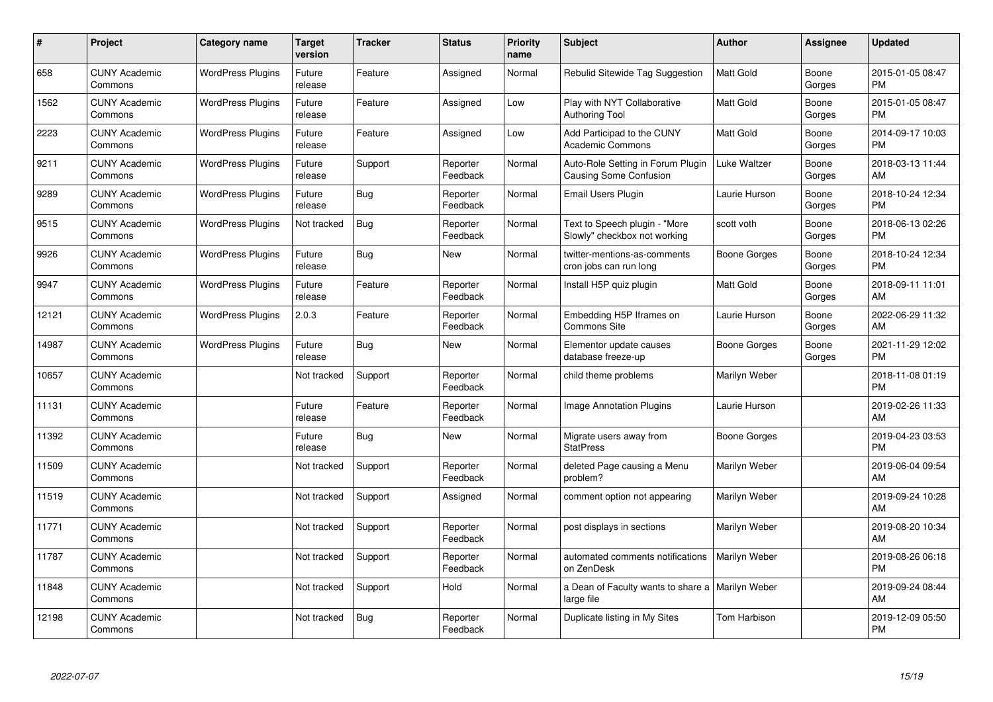| #     | <b>Project</b>                  | <b>Category name</b>     | <b>Target</b><br>version | <b>Tracker</b> | <b>Status</b>        | <b>Priority</b><br>name | <b>Subject</b>                                                     | <b>Author</b>    | Assignee        | <b>Updated</b>                |
|-------|---------------------------------|--------------------------|--------------------------|----------------|----------------------|-------------------------|--------------------------------------------------------------------|------------------|-----------------|-------------------------------|
| 658   | <b>CUNY Academic</b><br>Commons | <b>WordPress Plugins</b> | Future<br>release        | Feature        | Assigned             | Normal                  | Rebulid Sitewide Tag Suggestion                                    | <b>Matt Gold</b> | Boone<br>Gorges | 2015-01-05 08:47<br><b>PM</b> |
| 1562  | <b>CUNY Academic</b><br>Commons | <b>WordPress Plugins</b> | Future<br>release        | Feature        | Assigned             | Low                     | Play with NYT Collaborative<br><b>Authoring Tool</b>               | Matt Gold        | Boone<br>Gorges | 2015-01-05 08:47<br><b>PM</b> |
| 2223  | <b>CUNY Academic</b><br>Commons | <b>WordPress Plugins</b> | Future<br>release        | Feature        | Assigned             | Low                     | Add Participad to the CUNY<br><b>Academic Commons</b>              | Matt Gold        | Boone<br>Gorges | 2014-09-17 10:03<br><b>PM</b> |
| 9211  | <b>CUNY Academic</b><br>Commons | <b>WordPress Plugins</b> | Future<br>release        | Support        | Reporter<br>Feedback | Normal                  | Auto-Role Setting in Forum Plugin<br><b>Causing Some Confusion</b> | Luke Waltzer     | Boone<br>Gorges | 2018-03-13 11:44<br>AM        |
| 9289  | <b>CUNY Academic</b><br>Commons | <b>WordPress Plugins</b> | Future<br>release        | <b>Bug</b>     | Reporter<br>Feedback | Normal                  | Email Users Plugin                                                 | Laurie Hurson    | Boone<br>Gorges | 2018-10-24 12:34<br><b>PM</b> |
| 9515  | <b>CUNY Academic</b><br>Commons | <b>WordPress Plugins</b> | Not tracked              | Bug            | Reporter<br>Feedback | Normal                  | Text to Speech plugin - "More<br>Slowly" checkbox not working      | scott voth       | Boone<br>Gorges | 2018-06-13 02:26<br><b>PM</b> |
| 9926  | <b>CUNY Academic</b><br>Commons | <b>WordPress Plugins</b> | Future<br>release        | <b>Bug</b>     | New                  | Normal                  | twitter-mentions-as-comments<br>cron jobs can run long             | Boone Gorges     | Boone<br>Gorges | 2018-10-24 12:34<br><b>PM</b> |
| 9947  | <b>CUNY Academic</b><br>Commons | <b>WordPress Plugins</b> | Future<br>release        | Feature        | Reporter<br>Feedback | Normal                  | Install H5P quiz plugin                                            | <b>Matt Gold</b> | Boone<br>Gorges | 2018-09-11 11:01<br>AM        |
| 12121 | <b>CUNY Academic</b><br>Commons | <b>WordPress Plugins</b> | 2.0.3                    | Feature        | Reporter<br>Feedback | Normal                  | Embedding H5P Iframes on<br><b>Commons Site</b>                    | Laurie Hurson    | Boone<br>Gorges | 2022-06-29 11:32<br>AM        |
| 14987 | <b>CUNY Academic</b><br>Commons | <b>WordPress Plugins</b> | Future<br>release        | Bug            | <b>New</b>           | Normal                  | Elementor update causes<br>database freeze-up                      | Boone Gorges     | Boone<br>Gorges | 2021-11-29 12:02<br><b>PM</b> |
| 10657 | <b>CUNY Academic</b><br>Commons |                          | Not tracked              | Support        | Reporter<br>Feedback | Normal                  | child theme problems                                               | Marilyn Weber    |                 | 2018-11-08 01:19<br><b>PM</b> |
| 11131 | <b>CUNY Academic</b><br>Commons |                          | Future<br>release        | Feature        | Reporter<br>Feedback | Normal                  | <b>Image Annotation Plugins</b>                                    | Laurie Hurson    |                 | 2019-02-26 11:33<br>AM        |
| 11392 | <b>CUNY Academic</b><br>Commons |                          | Future<br>release        | Bug            | New                  | Normal                  | Migrate users away from<br><b>StatPress</b>                        | Boone Gorges     |                 | 2019-04-23 03:53<br><b>PM</b> |
| 11509 | <b>CUNY Academic</b><br>Commons |                          | Not tracked              | Support        | Reporter<br>Feedback | Normal                  | deleted Page causing a Menu<br>problem?                            | Marilyn Weber    |                 | 2019-06-04 09:54<br>AM        |
| 11519 | <b>CUNY Academic</b><br>Commons |                          | Not tracked              | Support        | Assigned             | Normal                  | comment option not appearing                                       | Marilyn Weber    |                 | 2019-09-24 10:28<br>AM        |
| 11771 | <b>CUNY Academic</b><br>Commons |                          | Not tracked              | Support        | Reporter<br>Feedback | Normal                  | post displays in sections                                          | Marilyn Weber    |                 | 2019-08-20 10:34<br>AM        |
| 11787 | <b>CUNY Academic</b><br>Commons |                          | Not tracked              | Support        | Reporter<br>Feedback | Normal                  | automated comments notifications<br>on ZenDesk                     | Marilyn Weber    |                 | 2019-08-26 06:18<br><b>PM</b> |
| 11848 | <b>CUNY Academic</b><br>Commons |                          | Not tracked              | Support        | Hold                 | Normal                  | a Dean of Faculty wants to share a<br>large file                   | Marilyn Weber    |                 | 2019-09-24 08:44<br>AM        |
| 12198 | <b>CUNY Academic</b><br>Commons |                          | Not tracked              | Bug            | Reporter<br>Feedback | Normal                  | Duplicate listing in My Sites                                      | Tom Harbison     |                 | 2019-12-09 05:50<br><b>PM</b> |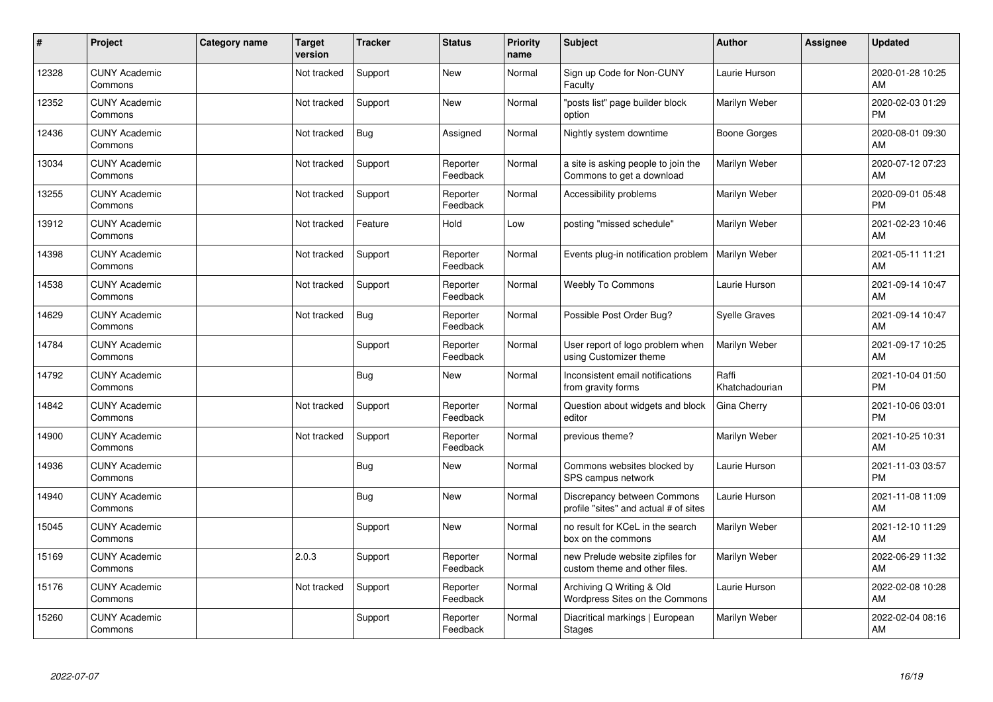| #     | Project                         | Category name | <b>Target</b><br>version | <b>Tracker</b> | <b>Status</b>        | <b>Priority</b><br>name | Subject                                                              | <b>Author</b>           | <b>Assignee</b> | <b>Updated</b>                |
|-------|---------------------------------|---------------|--------------------------|----------------|----------------------|-------------------------|----------------------------------------------------------------------|-------------------------|-----------------|-------------------------------|
| 12328 | <b>CUNY Academic</b><br>Commons |               | Not tracked              | Support        | <b>New</b>           | Normal                  | Sign up Code for Non-CUNY<br>Faculty                                 | Laurie Hurson           |                 | 2020-01-28 10:25<br>AM        |
| 12352 | <b>CUNY Academic</b><br>Commons |               | Not tracked              | Support        | <b>New</b>           | Normal                  | 'posts list" page builder block<br>option                            | Marilyn Weber           |                 | 2020-02-03 01:29<br><b>PM</b> |
| 12436 | <b>CUNY Academic</b><br>Commons |               | Not tracked              | <b>Bug</b>     | Assigned             | Normal                  | Nightly system downtime                                              | <b>Boone Gorges</b>     |                 | 2020-08-01 09:30<br>AM        |
| 13034 | <b>CUNY Academic</b><br>Commons |               | Not tracked              | Support        | Reporter<br>Feedback | Normal                  | a site is asking people to join the<br>Commons to get a download     | Marilyn Weber           |                 | 2020-07-12 07:23<br>AM        |
| 13255 | <b>CUNY Academic</b><br>Commons |               | Not tracked              | Support        | Reporter<br>Feedback | Normal                  | Accessibility problems                                               | Marilyn Weber           |                 | 2020-09-01 05:48<br><b>PM</b> |
| 13912 | <b>CUNY Academic</b><br>Commons |               | Not tracked              | Feature        | Hold                 | Low                     | posting "missed schedule"                                            | Marilyn Weber           |                 | 2021-02-23 10:46<br>AM        |
| 14398 | <b>CUNY Academic</b><br>Commons |               | Not tracked              | Support        | Reporter<br>Feedback | Normal                  | Events plug-in notification problem                                  | Marilyn Weber           |                 | 2021-05-11 11:21<br>AM        |
| 14538 | <b>CUNY Academic</b><br>Commons |               | Not tracked              | Support        | Reporter<br>Feedback | Normal                  | Weebly To Commons                                                    | Laurie Hurson           |                 | 2021-09-14 10:47<br>AM        |
| 14629 | <b>CUNY Academic</b><br>Commons |               | Not tracked              | Bug            | Reporter<br>Feedback | Normal                  | Possible Post Order Bug?                                             | <b>Syelle Graves</b>    |                 | 2021-09-14 10:47<br>AM        |
| 14784 | <b>CUNY Academic</b><br>Commons |               |                          | Support        | Reporter<br>Feedback | Normal                  | User report of logo problem when<br>using Customizer theme           | <b>Marilyn Weber</b>    |                 | 2021-09-17 10:25<br>AM        |
| 14792 | <b>CUNY Academic</b><br>Commons |               |                          | <b>Bug</b>     | New                  | Normal                  | Inconsistent email notifications<br>from gravity forms               | Raffi<br>Khatchadourian |                 | 2021-10-04 01:50<br><b>PM</b> |
| 14842 | <b>CUNY Academic</b><br>Commons |               | Not tracked              | Support        | Reporter<br>Feedback | Normal                  | Question about widgets and block<br>editor                           | Gina Cherry             |                 | 2021-10-06 03:01<br><b>PM</b> |
| 14900 | <b>CUNY Academic</b><br>Commons |               | Not tracked              | Support        | Reporter<br>Feedback | Normal                  | previous theme?                                                      | Marilyn Weber           |                 | 2021-10-25 10:31<br>AM        |
| 14936 | <b>CUNY Academic</b><br>Commons |               |                          | <b>Bug</b>     | New                  | Normal                  | Commons websites blocked by<br>SPS campus network                    | Laurie Hurson           |                 | 2021-11-03 03:57<br><b>PM</b> |
| 14940 | <b>CUNY Academic</b><br>Commons |               |                          | Bug            | <b>New</b>           | Normal                  | Discrepancy between Commons<br>profile "sites" and actual # of sites | Laurie Hurson           |                 | 2021-11-08 11:09<br>AM        |
| 15045 | <b>CUNY Academic</b><br>Commons |               |                          | Support        | <b>New</b>           | Normal                  | no result for KCeL in the search<br>box on the commons               | Marilyn Weber           |                 | 2021-12-10 11:29<br>AM        |
| 15169 | <b>CUNY Academic</b><br>Commons |               | 2.0.3                    | Support        | Reporter<br>Feedback | Normal                  | new Prelude website zipfiles for<br>custom theme and other files.    | Marilyn Weber           |                 | 2022-06-29 11:32<br>AM        |
| 15176 | <b>CUNY Academic</b><br>Commons |               | Not tracked              | Support        | Reporter<br>Feedback | Normal                  | Archiving Q Writing & Old<br>Wordpress Sites on the Commons          | Laurie Hurson           |                 | 2022-02-08 10:28<br>AM        |
| 15260 | <b>CUNY Academic</b><br>Commons |               |                          | Support        | Reporter<br>Feedback | Normal                  | Diacritical markings   European<br><b>Stages</b>                     | Marilyn Weber           |                 | 2022-02-04 08:16<br>AM        |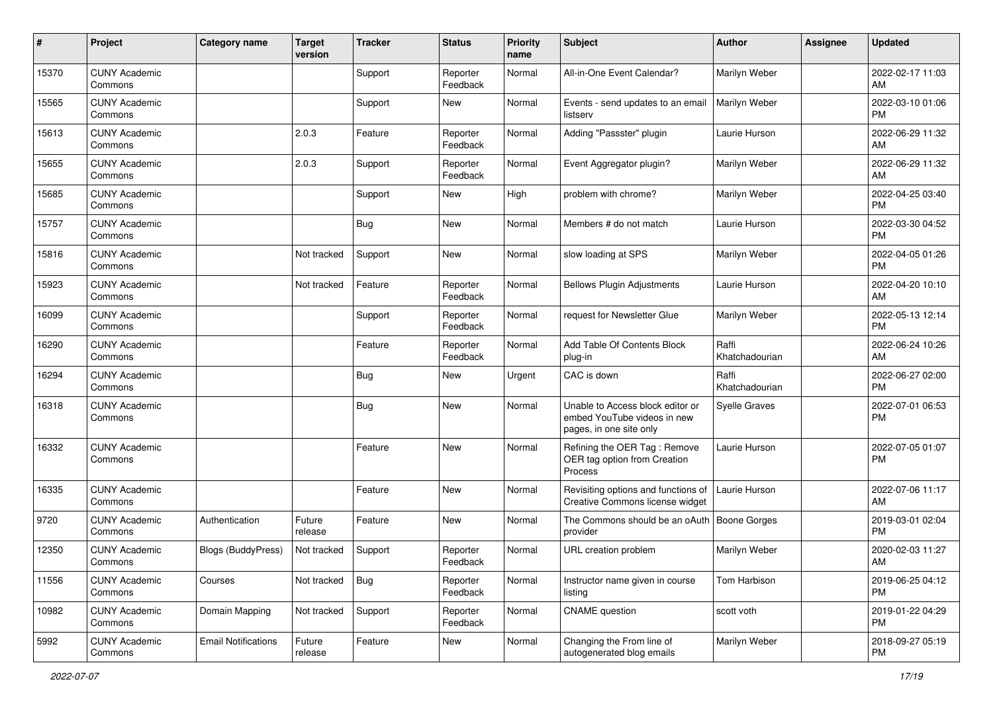| #     | Project                         | Category name              | <b>Target</b><br>version | <b>Tracker</b> | <b>Status</b>        | Priority<br>name | <b>Subject</b>                                                                             | <b>Author</b>           | <b>Assignee</b> | <b>Updated</b>                |
|-------|---------------------------------|----------------------------|--------------------------|----------------|----------------------|------------------|--------------------------------------------------------------------------------------------|-------------------------|-----------------|-------------------------------|
| 15370 | <b>CUNY Academic</b><br>Commons |                            |                          | Support        | Reporter<br>Feedback | Normal           | All-in-One Event Calendar?                                                                 | Marilyn Weber           |                 | 2022-02-17 11:03<br>AM        |
| 15565 | <b>CUNY Academic</b><br>Commons |                            |                          | Support        | New                  | Normal           | Events - send updates to an email<br>listserv                                              | Marilyn Weber           |                 | 2022-03-10 01:06<br><b>PM</b> |
| 15613 | <b>CUNY Academic</b><br>Commons |                            | 2.0.3                    | Feature        | Reporter<br>Feedback | Normal           | Adding "Passster" plugin                                                                   | Laurie Hurson           |                 | 2022-06-29 11:32<br>AM        |
| 15655 | <b>CUNY Academic</b><br>Commons |                            | 2.0.3                    | Support        | Reporter<br>Feedback | Normal           | Event Aggregator plugin?                                                                   | Marilyn Weber           |                 | 2022-06-29 11:32<br>AM        |
| 15685 | <b>CUNY Academic</b><br>Commons |                            |                          | Support        | New                  | High             | problem with chrome?                                                                       | Marilyn Weber           |                 | 2022-04-25 03:40<br>PM        |
| 15757 | <b>CUNY Academic</b><br>Commons |                            |                          | <b>Bug</b>     | New                  | Normal           | Members # do not match                                                                     | Laurie Hurson           |                 | 2022-03-30 04:52<br><b>PM</b> |
| 15816 | <b>CUNY Academic</b><br>Commons |                            | Not tracked              | Support        | New                  | Normal           | slow loading at SPS                                                                        | Marilyn Weber           |                 | 2022-04-05 01:26<br>PM        |
| 15923 | <b>CUNY Academic</b><br>Commons |                            | Not tracked              | Feature        | Reporter<br>Feedback | Normal           | <b>Bellows Plugin Adjustments</b>                                                          | Laurie Hurson           |                 | 2022-04-20 10:10<br>AM        |
| 16099 | <b>CUNY Academic</b><br>Commons |                            |                          | Support        | Reporter<br>Feedback | Normal           | request for Newsletter Glue                                                                | Marilyn Weber           |                 | 2022-05-13 12:14<br><b>PM</b> |
| 16290 | <b>CUNY Academic</b><br>Commons |                            |                          | Feature        | Reporter<br>Feedback | Normal           | Add Table Of Contents Block<br>plug-in                                                     | Raffi<br>Khatchadourian |                 | 2022-06-24 10:26<br>AM        |
| 16294 | <b>CUNY Academic</b><br>Commons |                            |                          | <b>Bug</b>     | New                  | Urgent           | CAC is down                                                                                | Raffi<br>Khatchadourian |                 | 2022-06-27 02:00<br>PM        |
| 16318 | <b>CUNY Academic</b><br>Commons |                            |                          | Bug            | <b>New</b>           | Normal           | Unable to Access block editor or<br>embed YouTube videos in new<br>pages, in one site only | <b>Syelle Graves</b>    |                 | 2022-07-01 06:53<br>PM        |
| 16332 | <b>CUNY Academic</b><br>Commons |                            |                          | Feature        | <b>New</b>           | Normal           | Refining the OER Tag: Remove<br>OER tag option from Creation<br>Process                    | Laurie Hurson           |                 | 2022-07-05 01:07<br>PM        |
| 16335 | <b>CUNY Academic</b><br>Commons |                            |                          | Feature        | <b>New</b>           | Normal           | Revisiting options and functions of<br>Creative Commons license widget                     | Laurie Hurson           |                 | 2022-07-06 11:17<br>AM        |
| 9720  | <b>CUNY Academic</b><br>Commons | Authentication             | Future<br>release        | Feature        | New                  | Normal           | The Commons should be an oAuth<br>provider                                                 | Boone Gorges            |                 | 2019-03-01 02:04<br><b>PM</b> |
| 12350 | <b>CUNY Academic</b><br>Commons | Blogs (BuddyPress)         | Not tracked              | Support        | Reporter<br>Feedback | Normal           | URL creation problem                                                                       | Marilyn Weber           |                 | 2020-02-03 11:27<br>AM        |
| 11556 | <b>CUNY Academic</b><br>Commons | Courses                    | Not tracked              | Bug            | Reporter<br>Feedback | Normal           | Instructor name given in course<br>listing                                                 | Tom Harbison            |                 | 2019-06-25 04:12<br><b>PM</b> |
| 10982 | <b>CUNY Academic</b><br>Commons | Domain Mapping             | Not tracked              | Support        | Reporter<br>Feedback | Normal           | <b>CNAME</b> question                                                                      | scott voth              |                 | 2019-01-22 04:29<br><b>PM</b> |
| 5992  | <b>CUNY Academic</b><br>Commons | <b>Email Notifications</b> | Future<br>release        | Feature        | New                  | Normal           | Changing the From line of<br>autogenerated blog emails                                     | Marilyn Weber           |                 | 2018-09-27 05:19<br><b>PM</b> |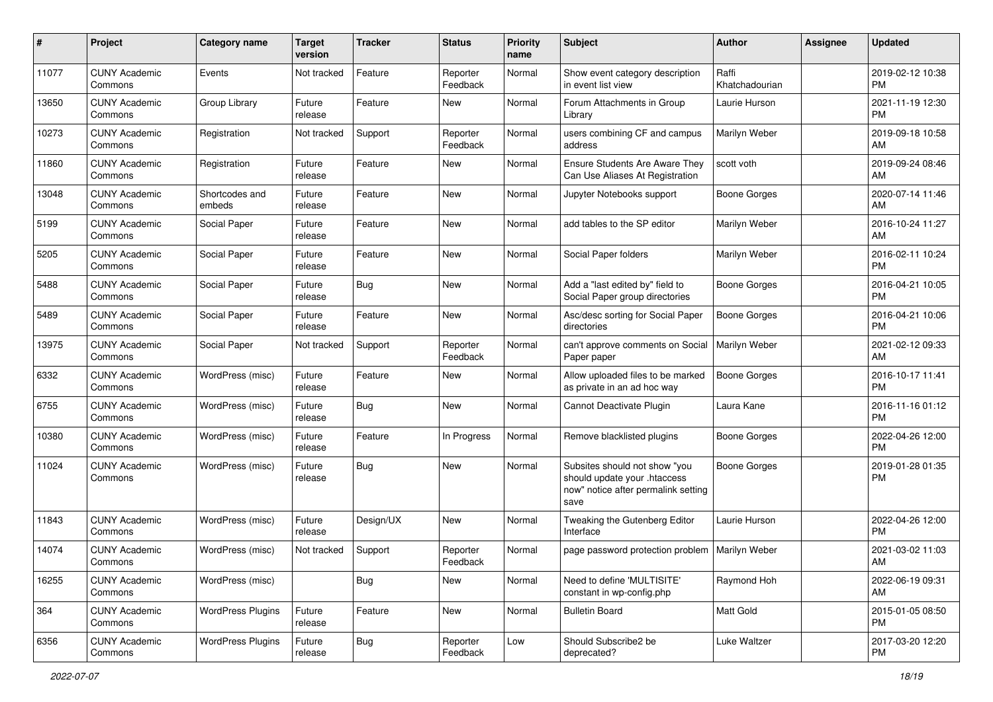| #     | Project                         | <b>Category name</b>     | <b>Target</b><br>version | <b>Tracker</b> | <b>Status</b>        | <b>Priority</b><br>name | Subject                                                                                                      | <b>Author</b>           | Assignee | <b>Updated</b>                |
|-------|---------------------------------|--------------------------|--------------------------|----------------|----------------------|-------------------------|--------------------------------------------------------------------------------------------------------------|-------------------------|----------|-------------------------------|
| 11077 | <b>CUNY Academic</b><br>Commons | Events                   | Not tracked              | Feature        | Reporter<br>Feedback | Normal                  | Show event category description<br>in event list view                                                        | Raffi<br>Khatchadourian |          | 2019-02-12 10:38<br>PM        |
| 13650 | <b>CUNY Academic</b><br>Commons | Group Library            | Future<br>release        | Feature        | New                  | Normal                  | Forum Attachments in Group<br>Library                                                                        | Laurie Hurson           |          | 2021-11-19 12:30<br><b>PM</b> |
| 10273 | <b>CUNY Academic</b><br>Commons | Registration             | Not tracked              | Support        | Reporter<br>Feedback | Normal                  | users combining CF and campus<br>address                                                                     | Marilyn Weber           |          | 2019-09-18 10:58<br>AM        |
| 11860 | <b>CUNY Academic</b><br>Commons | Registration             | Future<br>release        | Feature        | New                  | Normal                  | <b>Ensure Students Are Aware They</b><br>Can Use Aliases At Registration                                     | scott voth              |          | 2019-09-24 08:46<br>AM        |
| 13048 | <b>CUNY Academic</b><br>Commons | Shortcodes and<br>embeds | Future<br>release        | Feature        | New                  | Normal                  | Jupyter Notebooks support                                                                                    | Boone Gorges            |          | 2020-07-14 11:46<br>AM        |
| 5199  | <b>CUNY Academic</b><br>Commons | Social Paper             | Future<br>release        | Feature        | New                  | Normal                  | add tables to the SP editor                                                                                  | Marilyn Weber           |          | 2016-10-24 11:27<br>AM        |
| 5205  | <b>CUNY Academic</b><br>Commons | Social Paper             | Future<br>release        | Feature        | New                  | Normal                  | Social Paper folders                                                                                         | Marilyn Weber           |          | 2016-02-11 10:24<br><b>PM</b> |
| 5488  | <b>CUNY Academic</b><br>Commons | Social Paper             | Future<br>release        | Bug            | New                  | Normal                  | Add a "last edited by" field to<br>Social Paper group directories                                            | Boone Gorges            |          | 2016-04-21 10:05<br>PМ        |
| 5489  | <b>CUNY Academic</b><br>Commons | Social Paper             | Future<br>release        | Feature        | New                  | Normal                  | Asc/desc sorting for Social Paper<br>directories                                                             | <b>Boone Gorges</b>     |          | 2016-04-21 10:06<br><b>PM</b> |
| 13975 | <b>CUNY Academic</b><br>Commons | Social Paper             | Not tracked              | Support        | Reporter<br>Feedback | Normal                  | can't approve comments on Social<br>Paper paper                                                              | Marilyn Weber           |          | 2021-02-12 09:33<br>AM        |
| 6332  | <b>CUNY Academic</b><br>Commons | WordPress (misc)         | Future<br>release        | Feature        | New                  | Normal                  | Allow uploaded files to be marked<br>as private in an ad hoc way                                             | <b>Boone Gorges</b>     |          | 2016-10-17 11:41<br><b>PM</b> |
| 6755  | <b>CUNY Academic</b><br>Commons | WordPress (misc)         | Future<br>release        | <b>Bug</b>     | New                  | Normal                  | Cannot Deactivate Plugin                                                                                     | Laura Kane              |          | 2016-11-16 01:12<br><b>PM</b> |
| 10380 | <b>CUNY Academic</b><br>Commons | WordPress (misc)         | Future<br>release        | Feature        | In Progress          | Normal                  | Remove blacklisted plugins                                                                                   | <b>Boone Gorges</b>     |          | 2022-04-26 12:00<br><b>PM</b> |
| 11024 | <b>CUNY Academic</b><br>Commons | WordPress (misc)         | Future<br>release        | <b>Bug</b>     | New                  | Normal                  | Subsites should not show "you<br>should update your .htaccess<br>now" notice after permalink setting<br>save | <b>Boone Gorges</b>     |          | 2019-01-28 01:35<br><b>PM</b> |
| 11843 | <b>CUNY Academic</b><br>Commons | WordPress (misc)         | Future<br>release        | Design/UX      | New                  | Normal                  | Tweaking the Gutenberg Editor<br>Interface                                                                   | Laurie Hurson           |          | 2022-04-26 12:00<br><b>PM</b> |
| 14074 | <b>CUNY Academic</b><br>Commons | WordPress (misc)         | Not tracked              | Support        | Reporter<br>Feedback | Normal                  | page password protection problem   Marilyn Weber                                                             |                         |          | 2021-03-02 11:03<br>AM        |
| 16255 | <b>CUNY Academic</b><br>Commons | WordPress (misc)         |                          | <b>Bug</b>     | New                  | Normal                  | Need to define 'MULTISITE'<br>constant in wp-config.php                                                      | Raymond Hoh             |          | 2022-06-19 09:31<br>AM        |
| 364   | <b>CUNY Academic</b><br>Commons | <b>WordPress Plugins</b> | Future<br>release        | Feature        | New                  | Normal                  | <b>Bulletin Board</b>                                                                                        | Matt Gold               |          | 2015-01-05 08:50<br><b>PM</b> |
| 6356  | <b>CUNY Academic</b><br>Commons | <b>WordPress Plugins</b> | Future<br>release        | Bug            | Reporter<br>Feedback | Low                     | Should Subscribe2 be<br>deprecated?                                                                          | Luke Waltzer            |          | 2017-03-20 12:20<br><b>PM</b> |